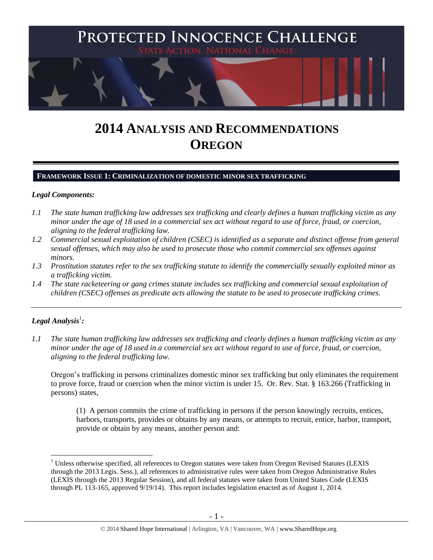

# **2014 ANALYSIS AND RECOMMENDATIONS OREGON**

#### **FRAMEWORK ISSUE 1: CRIMINALIZATION OF DOMESTIC MINOR SEX TRAFFICKING**

#### *Legal Components:*

- *1.1 The state human trafficking law addresses sex trafficking and clearly defines a human trafficking victim as any minor under the age of 18 used in a commercial sex act without regard to use of force, fraud, or coercion, aligning to the federal trafficking law.*
- *1.2 Commercial sexual exploitation of children (CSEC) is identified as a separate and distinct offense from general sexual offenses, which may also be used to prosecute those who commit commercial sex offenses against minors.*
- *1.3 Prostitution statutes refer to the sex trafficking statute to identify the commercially sexually exploited minor as a trafficking victim.*
- *1.4 The state racketeering or gang crimes statute includes sex trafficking and commercial sexual exploitation of children (CSEC) offenses as predicate acts allowing the statute to be used to prosecute trafficking crimes.*

# $\bm{L}$ egal Analysis $^1$ :

 $\overline{a}$ 

*1.1 The state human trafficking law addresses sex trafficking and clearly defines a human trafficking victim as any minor under the age of 18 used in a commercial sex act without regard to use of force, fraud, or coercion, aligning to the federal trafficking law.*

Oregon's trafficking in persons criminalizes domestic minor sex trafficking but only eliminates the requirement to prove force, fraud or coercion when the minor victim is under 15. Or. Rev. Stat. § 163.266 (Trafficking in persons) states,

(1) A person commits the crime of trafficking in persons if the person knowingly recruits, entices, harbors, transports, provides or obtains by any means, or attempts to recruit, entice, harbor, transport, provide or obtain by any means, another person and:

<sup>&</sup>lt;sup>1</sup> Unless otherwise specified, all references to Oregon statutes were taken from Oregon Revised Statutes (LEXIS through the 2013 Legis. Sess.), all references to administrative rules were taken from Oregon Administrative Rules (LEXIS through the 2013 Regular Session), and all federal statutes were taken from United States Code (LEXIS through PL 113-165, approved 9/19/14). This report includes legislation enacted as of August 1, 2014.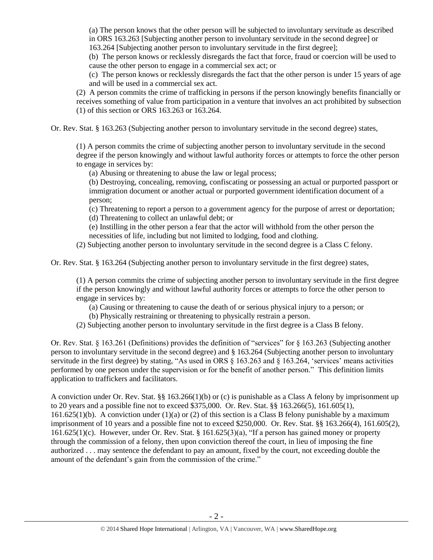(a) The person knows that the other person will be subjected to involuntary servitude as described in ORS 163.263 [Subjecting another person to involuntary servitude in the second degree] or 163.264 [Subjecting another person to involuntary servitude in the first degree];

(b) The person knows or recklessly disregards the fact that force, fraud or coercion will be used to cause the other person to engage in a commercial sex act; or

(c) The person knows or recklessly disregards the fact that the other person is under 15 years of age and will be used in a commercial sex act.

(2) A person commits the crime of trafficking in persons if the person knowingly benefits financially or receives something of value from participation in a venture that involves an act prohibited by subsection (1) of this section or ORS 163.263 or 163.264.

Or. Rev. Stat. § 163.263 (Subjecting another person to involuntary servitude in the second degree) states,

(1) A person commits the crime of subjecting another person to involuntary servitude in the second degree if the person knowingly and without lawful authority forces or attempts to force the other person to engage in services by:

(a) Abusing or threatening to abuse the law or legal process;

(b) Destroying, concealing, removing, confiscating or possessing an actual or purported passport or immigration document or another actual or purported government identification document of a person;

(c) Threatening to report a person to a government agency for the purpose of arrest or deportation; (d) Threatening to collect an unlawful debt; or

(e) Instilling in the other person a fear that the actor will withhold from the other person the necessities of life, including but not limited to lodging, food and clothing.

(2) Subjecting another person to involuntary servitude in the second degree is a Class C felony.

Or. Rev. Stat. § 163.264 (Subjecting another person to involuntary servitude in the first degree) states,

(1) A person commits the crime of subjecting another person to involuntary servitude in the first degree if the person knowingly and without lawful authority forces or attempts to force the other person to engage in services by:

(a) Causing or threatening to cause the death of or serious physical injury to a person; or

(b) Physically restraining or threatening to physically restrain a person.

(2) Subjecting another person to involuntary servitude in the first degree is a Class B felony.

Or. Rev. Stat. § 163.261 (Definitions) provides the definition of "services" for § 163.263 (Subjecting another person to involuntary servitude in the second degree) and § 163.264 (Subjecting another person to involuntary servitude in the first degree) by stating, "As used in ORS § 163.263 and § 163.264, 'services' means activities performed by one person under the supervision or for the benefit of another person." This definition limits application to traffickers and facilitators.

A conviction under Or. Rev. Stat. §§ 163.266(1)(b) or (c) is punishable as a Class A felony by imprisonment up to 20 years and a possible fine not to exceed \$375,000. Or. Rev. Stat. §§ 163.266(5), 161.605(1), 161.625(1)(b). A conviction under (1)(a) or (2) of this section is a Class B felony punishable by a maximum imprisonment of 10 years and a possible fine not to exceed \$250,000. Or. Rev. Stat. §§ 163.266(4), 161.605(2), 161.625(1)(c). However, under Or. Rev. Stat. § 161.625(3)(a), "If a person has gained money or property through the commission of a felony, then upon conviction thereof the court, in lieu of imposing the fine authorized . . . may sentence the defendant to pay an amount, fixed by the court, not exceeding double the amount of the defendant's gain from the commission of the crime."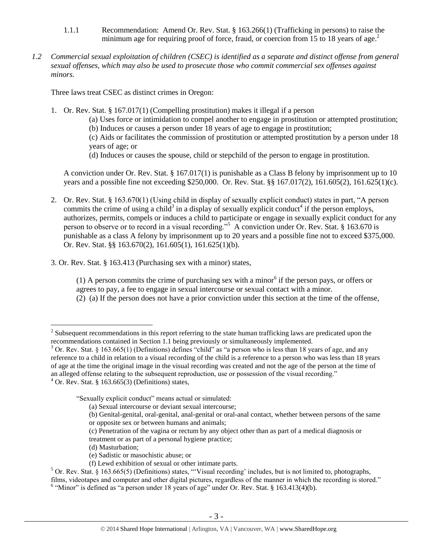- 1.1.1 Recommendation: Amend Or. Rev. Stat. § 163.266(1) (Trafficking in persons) to raise the minimum age for requiring proof of force, fraud, or coercion from 15 to 18 years of age.<sup>2</sup>
- *1.2 Commercial sexual exploitation of children (CSEC) is identified as a separate and distinct offense from general sexual offenses, which may also be used to prosecute those who commit commercial sex offenses against minors.*

Three laws treat CSEC as distinct crimes in Oregon:

1. Or. Rev. Stat. § 167.017(1) (Compelling prostitution) makes it illegal if a person

(a) Uses force or intimidation to compel another to engage in prostitution or attempted prostitution; (b) Induces or causes a person under 18 years of age to engage in prostitution;

(c) Aids or facilitates the commission of prostitution or attempted prostitution by a person under 18 years of age; or

<span id="page-2-2"></span><span id="page-2-1"></span><span id="page-2-0"></span>(d) Induces or causes the spouse, child or stepchild of the person to engage in prostitution.

A conviction under Or. Rev. Stat. § 167.017(1) is punishable as a Class B felony by imprisonment up to 10 years and a possible fine not exceeding \$250,000. Or. Rev. Stat. §§ 167.017(2), 161.605(2), 161.625(1)(c).

- 2. Or. Rev. Stat. § 163.670(1) (Using child in display of sexually explicit conduct) states in part, "A person commits the crime of using a child<sup>3</sup> in a display of sexually explicit conduct<sup>4</sup> if the person employs, authorizes, permits, compels or induces a child to participate or engage in sexually explicit conduct for any person to observe or to record in a visual recording."<sup>5</sup> A conviction under Or. Rev. Stat. § 163.670 is punishable as a class A felony by imprisonment up to 20 years and a possible fine not to exceed \$375,000. Or. Rev. Stat. §§ 163.670(2), 161.605(1), 161.625(1)(b).
- 3. Or. Rev. Stat. § 163.413 (Purchasing sex with a minor) states,

 $(1)$  A person commits the crime of purchasing sex with a minor<sup>6</sup> if the person pays, or offers or agrees to pay, a fee to engage in sexual intercourse or sexual contact with a minor.

(2) (a) If the person does not have a prior conviction under this section at the time of the offense,

"Sexually explicit conduct" means actual or simulated:

- (c) Penetration of the vagina or rectum by any object other than as part of a medical diagnosis or
- treatment or as part of a personal hygiene practice;
- (d) Masturbation;

<sup>&</sup>lt;sup>2</sup> Subsequent recommendations in this report referring to the state human trafficking laws are predicated upon the recommendations contained in Section 1.1 being previously or simultaneously implemented.

 $3$  Or. Rev. Stat. § 163.665(1) (Definitions) defines "child" as "a person who is less than 18 years of age, and any reference to a child in relation to a visual recording of the child is a reference to a person who was less than 18 years of age at the time the original image in the visual recording was created and not the age of the person at the time of an alleged offense relating to the subsequent reproduction, use or possession of the visual recording."  $4$  Or. Rev. Stat. § 163.665(3) (Definitions) states,

<sup>(</sup>a) Sexual intercourse or deviant sexual intercourse;

<sup>(</sup>b) Genital-genital, oral-genital, anal-genital or oral-anal contact, whether between persons of the same or opposite sex or between humans and animals;

<sup>(</sup>e) Sadistic or masochistic abuse; or

<sup>(</sup>f) Lewd exhibition of sexual or other intimate parts.

 $5$  Or. Rev. Stat. § 163.665(5) (Definitions) states, "Visual recording' includes, but is not limited to, photographs, films, videotapes and computer and other digital pictures, regardless of the manner in which the recording is stored."

 $<sup>6</sup>$  "Minor" is defined as "a person under 18 years of age" under Or. Rev. Stat. § 163.413(4)(b).</sup>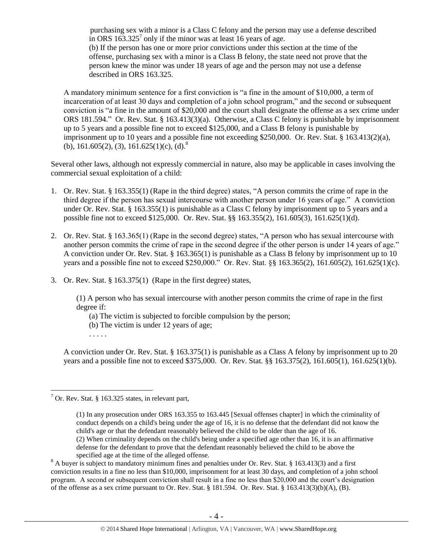<span id="page-3-0"></span>purchasing sex with a minor is a Class C felony and the person may use a defense described in ORS  $163.325^7$  only if the minor was at least 16 years of age. (b) If the person has one or more prior convictions under this section at the time of the offense, purchasing sex with a minor is a Class B felony, the state need not prove that the person knew the minor was under 18 years of age and the person may not use a defense described in ORS 163.325.

<span id="page-3-1"></span>A mandatory minimum sentence for a first conviction is "a fine in the amount of \$10,000, a term of incarceration of at least 30 days and completion of a john school program," and the second or subsequent conviction is "a fine in the amount of \$20,000 and the court shall designate the offense as a sex crime under ORS 181.594." Or. Rev. Stat. § 163.413(3)(a). Otherwise, a Class C felony is punishable by imprisonment up to 5 years and a possible fine not to exceed \$125,000, and a Class B felony is punishable by imprisonment up to 10 years and a possible fine not exceeding \$250,000. Or. Rev. Stat. § 163.413(2)(a), (b), 161.605(2), (3), 161.625(1)(c), (d).<sup>8</sup>

Several other laws, although not expressly commercial in nature, also may be applicable in cases involving the commercial sexual exploitation of a child:

- 1. Or. Rev. Stat. § 163.355(1) (Rape in the third degree) states, "A person commits the crime of rape in the third degree if the person has sexual intercourse with another person under 16 years of age." A conviction under Or. Rev. Stat. § 163.355(1) is punishable as a Class C felony by imprisonment up to 5 years and a possible fine not to exceed \$125,000. Or. Rev. Stat. §§ 163.355(2), 161.605(3), 161.625(1)(d).
- 2. Or. Rev. Stat. § 163.365(1) (Rape in the second degree) states, "A person who has sexual intercourse with another person commits the crime of rape in the second degree if the other person is under 14 years of age." A conviction under Or. Rev. Stat. § 163.365(1) is punishable as a Class B felony by imprisonment up to 10 years and a possible fine not to exceed \$250,000." Or. Rev. Stat. §§ 163.365(2), 161.605(2), 161.625(1)(c).
- 3. Or. Rev. Stat. § 163.375(1) (Rape in the first degree) states,

(1) A person who has sexual intercourse with another person commits the crime of rape in the first degree if:

- (a) The victim is subjected to forcible compulsion by the person;
- (b) The victim is under 12 years of age;
- . . . . .

 $\overline{a}$ 

A conviction under Or. Rev. Stat. § 163.375(1) is punishable as a Class A felony by imprisonment up to 20 years and a possible fine not to exceed \$375,000. Or. Rev. Stat. §§ 163.375(2), 161.605(1), 161.625(1)(b).

 $7$  Or. Rev. Stat. § 163.325 states, in relevant part,

<sup>(1)</sup> In any prosecution under [ORS 163.355](https://a.next.westlaw.com/Link/Document/FullText?findType=L&pubNum=1000534&cite=ORSTS163.355&originatingDoc=NDBCF4B80B52311DB8E46AD894CF6FAAB&refType=LQ&originationContext=document&transitionType=DocumentItem&contextData=(sc.DocLink)) to [163.445](https://a.next.westlaw.com/Link/Document/FullText?findType=L&pubNum=1000534&cite=ORSTS163.445&originatingDoc=NDBCF4B80B52311DB8E46AD894CF6FAAB&refType=LQ&originationContext=document&transitionType=DocumentItem&contextData=(sc.DocLink)) [Sexual offenses chapter] in which the criminality of conduct depends on a child's being under the age of 16, it is no defense that the defendant did not know the child's age or that the defendant reasonably believed the child to be older than the age of 16. (2) When criminality depends on the child's being under a specified age other than 16, it is an affirmative defense for the defendant to prove that the defendant reasonably believed the child to be above the specified age at the time of the alleged offense.

<sup>&</sup>lt;sup>8</sup> A buyer is subject to mandatory minimum fines and penalties under Or. Rev. Stat. § 163.413(3) and a first conviction results in a fine no less than \$10,000, imprisonment for at least 30 days, and completion of a john school program. A second or subsequent conviction shall result in a fine no less than \$20,000 and the court's designation of the offense as a sex crime pursuant to Or. Rev. Stat. § 181.594. Or. Rev. Stat. § 163.413(3)(b)(A), (B).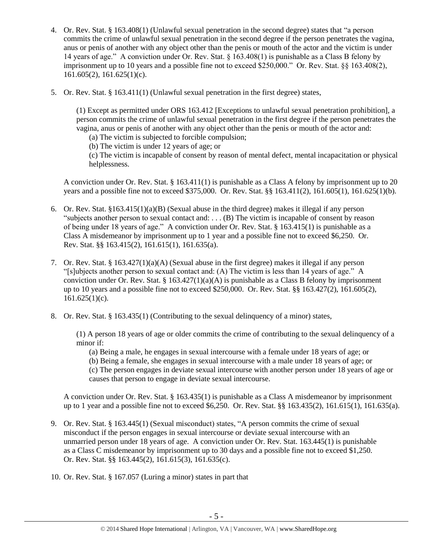- 4. Or. Rev. Stat. § 163.408(1) (Unlawful sexual penetration in the second degree) states that "a person commits the crime of unlawful sexual penetration in the second degree if the person penetrates the vagina, anus or penis of another with any object other than the penis or mouth of the actor and the victim is under 14 years of age." A conviction under Or. Rev. Stat. § 163.408(1) is punishable as a Class B felony by imprisonment up to 10 years and a possible fine not to exceed \$250,000." Or. Rev. Stat. §§ 163.408(2),  $161.605(2)$ ,  $161.625(1)(c)$ .
- 5. Or. Rev. Stat. § 163.411(1) (Unlawful sexual penetration in the first degree) states,

(1) Except as permitted under ORS 163.412 [Exceptions to unlawful sexual penetration prohibition], a person commits the crime of unlawful sexual penetration in the first degree if the person penetrates the vagina, anus or penis of another with any object other than the penis or mouth of the actor and:

- (a) The victim is subjected to forcible compulsion;
- (b) The victim is under 12 years of age; or

(c) The victim is incapable of consent by reason of mental defect, mental incapacitation or physical helplessness.

A conviction under Or. Rev. Stat. § 163.411(1) is punishable as a Class A felony by imprisonment up to 20 years and a possible fine not to exceed \$375,000. Or. Rev. Stat. §§ 163.411(2), 161.605(1), 161.625(1)(b).

- 6. Or. Rev. Stat. §163.415(1)(a)(B) (Sexual abuse in the third degree) makes it illegal if any person "subjects another person to sexual contact and: . . . (B) The victim is incapable of consent by reason of being under 18 years of age." A conviction under Or. Rev. Stat. § 163.415(1) is punishable as a Class A misdemeanor by imprisonment up to 1 year and a possible fine not to exceed \$6,250. Or. Rev. Stat. §§ 163.415(2), 161.615(1), 161.635(a).
- 7. Or. Rev. Stat. § 163.427(1)(a)(A) (Sexual abuse in the first degree) makes it illegal if any person "[s]ubjects another person to sexual contact and: (A) The victim is less than 14 years of age." A conviction under Or. Rev. Stat. §  $163.427(1)(a)(A)$  is punishable as a Class B felony by imprisonment up to 10 years and a possible fine not to exceed \$250,000. Or. Rev. Stat. §§ 163.427(2), 161.605(2),  $161.625(1)(c)$ .
- 8. Or. Rev. Stat. § 163.435(1) (Contributing to the sexual delinquency of a minor) states,

(1) A person 18 years of age or older commits the crime of contributing to the sexual delinquency of a minor if:

(a) Being a male, he engages in sexual intercourse with a female under 18 years of age; or

(b) Being a female, she engages in sexual intercourse with a male under 18 years of age; or

(c) The person engages in deviate sexual intercourse with another person under 18 years of age or causes that person to engage in deviate sexual intercourse.

A conviction under Or. Rev. Stat. § 163.435(1) is punishable as a Class A misdemeanor by imprisonment up to 1 year and a possible fine not to exceed \$6,250. Or. Rev. Stat. §§ 163.435(2), 161.615(1), 161.635(a).

- 9. Or. Rev. Stat. § 163.445(1) (Sexual misconduct) states, "A person commits the crime of sexual misconduct if the person engages in sexual intercourse or deviate sexual intercourse with an unmarried person under 18 years of age. A conviction under Or. Rev. Stat. 163.445(1) is punishable as a Class C misdemeanor by imprisonment up to 30 days and a possible fine not to exceed \$1,250. Or. Rev. Stat. §§ 163.445(2), 161.615(3), 161.635(c).
- 10. Or. Rev. Stat. § 167.057 (Luring a minor) states in part that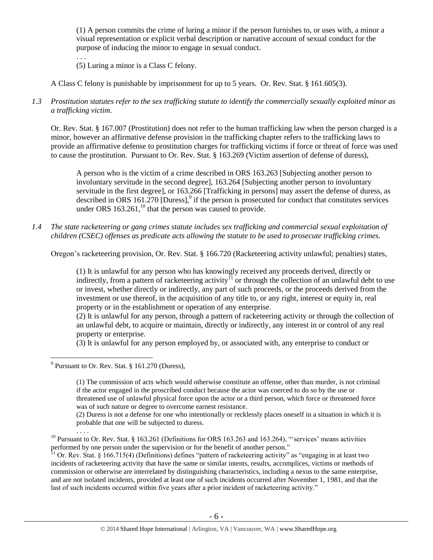(1) A person commits the crime of luring a minor if the person furnishes to, or uses with, a minor a visual representation or explicit verbal description or narrative account of sexual conduct for the purpose of inducing the minor to engage in sexual conduct.

. . . (5) Luring a minor is a Class C felony.

A Class C felony is punishable by imprisonment for up to 5 years. Or. Rev. Stat. § 161.605(3).

*1.3 Prostitution statutes refer to the sex trafficking statute to identify the commercially sexually exploited minor as a trafficking victim.* 

Or. Rev. Stat. § 167.007 (Prostitution) does not refer to the human trafficking law when the person charged is a minor, however an affirmative defense provision in the trafficking chapter refers to the trafficking laws to provide an affirmative defense to prostitution charges for trafficking victims if force or threat of force was used to cause the prostitution. Pursuant to Or. Rev. Stat. § 163.269 (Victim assertion of defense of duress),

A person who is the victim of a crime described in ORS 163.263 [Subjecting another person to involuntary servitude in the second degree], 163.264 [Subjecting another person to involuntary servitude in the first degree], or 163.266 [Trafficking in persons] may assert the defense of duress, as described in ORS 161.270 [Duress], $9$  if the person is prosecuted for conduct that constitutes services under ORS  $163.261$ ,<sup>10</sup> that the person was caused to provide.

*1.4 The state racketeering or gang crimes statute includes sex trafficking and commercial sexual exploitation of children (CSEC) offenses as predicate acts allowing the statute to be used to prosecute trafficking crimes.* 

Oregon's racketeering provision, Or. Rev. Stat. § 166.720 (Racketeering activity unlawful; penalties) states,

(1) It is unlawful for any person who has knowingly received any proceeds derived, directly or indirectly, from a pattern of racketeering activity<sup> $\overline{11}$ </sup> or through the collection of an unlawful debt to use or invest, whether directly or indirectly, any part of such proceeds, or the proceeds derived from the investment or use thereof, in the acquisition of any title to, or any right, interest or equity in, real property or in the establishment or operation of any enterprise.

(2) It is unlawful for any person, through a pattern of racketeering activity or through the collection of an unlawful debt, to acquire or maintain, directly or indirectly, any interest in or control of any real property or enterprise.

(3) It is unlawful for any person employed by, or associated with, any enterprise to conduct or

<sup>&</sup>lt;sup>9</sup> Pursuant to Or. Rev. Stat.  $\S 161.270$  (Duress),

<sup>(1)</sup> The commission of acts which would otherwise constitute an offense, other than murder, is not criminal if the actor engaged in the proscribed conduct because the actor was coerced to do so by the use or threatened use of unlawful physical force upon the actor or a third person, which force or threatened force was of such nature or degree to overcome earnest resistance.

<sup>(2)</sup> Duress is not a defense for one who intentionally or recklessly places oneself in a situation in which it is probable that one will be subjected to duress.

<sup>. . . .</sup> <sup>10</sup> Pursuant to Or. Rev. Stat. § 163.261 (Definitions for ORS 163.263 and 163.264), "'services' means activities performed by one person under the supervision or for the benefit of another person."

 $11$  Or. Rev. Stat. § 166.715(4) (Definitions) defines "pattern of racketeering activity" as "engaging in at least two incidents of racketeering activity that have the same or similar intents, results, accomplices, victims or methods of commission or otherwise are interrelated by distinguishing characteristics, including a nexus to the same enterprise, and are not isolated incidents, provided at least one of such incidents occurred after November 1, 1981, and that the last of such incidents occurred within five years after a prior incident of racketeering activity."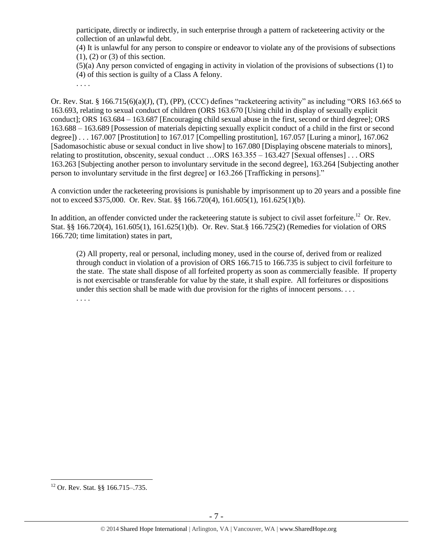participate, directly or indirectly, in such enterprise through a pattern of racketeering activity or the collection of an unlawful debt.

(4) It is unlawful for any person to conspire or endeavor to violate any of the provisions of subsections (1), (2) or (3) of this section.

(5)(a) Any person convicted of engaging in activity in violation of the provisions of subsections (1) to (4) of this section is guilty of a Class A felony.

. . . .

Or. Rev. Stat. § 166.715(6)(a)(J), (T), (PP), (CCC) defines "racketeering activity" as including "ORS 163.665 to 163.693, relating to sexual conduct of children (ORS 163.670 [Using child in display of sexually explicit conduct]; ORS 163.684 – 163.687 [Encouraging child sexual abuse in the first, second or third degree]; ORS 163.688 – 163.689 [Possession of materials depicting sexually explicit conduct of a child in the first or second degree]) . . . 167.007 [Prostitution] to 167.017 [Compelling prostitution], 167.057 [Luring a minor], 167.062 [Sadomasochistic abuse or sexual conduct in live show] to 167.080 [Displaying obscene materials to minors], relating to prostitution, obscenity, sexual conduct …ORS 163.355 – 163.427 [Sexual offenses] . . . ORS 163.263 [Subjecting another person to involuntary servitude in the second degree], 163.264 [Subjecting another person to involuntary servitude in the first degree] or 163.266 [Trafficking in persons]."

A conviction under the racketeering provisions is punishable by imprisonment up to 20 years and a possible fine not to exceed \$375,000. Or. Rev. Stat. §§ 166.720(4), 161.605(1), 161.625(1)(b).

In addition, an offender convicted under the racketeering statute is subject to civil asset forfeiture.<sup>12</sup> Or. Rev. Stat. §§ 166.720(4), 161.605(1), 161.625(1)(b). Or. Rev. Stat.§ 166.725(2) (Remedies for violation of ORS 166.720; time limitation) states in part,

(2) All property, real or personal, including money, used in the course of, derived from or realized through conduct in violation of a provision of ORS 166.715 to 166.735 is subject to civil forfeiture to the state. The state shall dispose of all forfeited property as soon as commercially feasible. If property is not exercisable or transferable for value by the state, it shall expire. All forfeitures or dispositions under this section shall be made with due provision for the rights of innocent persons.... . . . .

 $12$  Or. Rev. Stat. §§ 166.715–.735.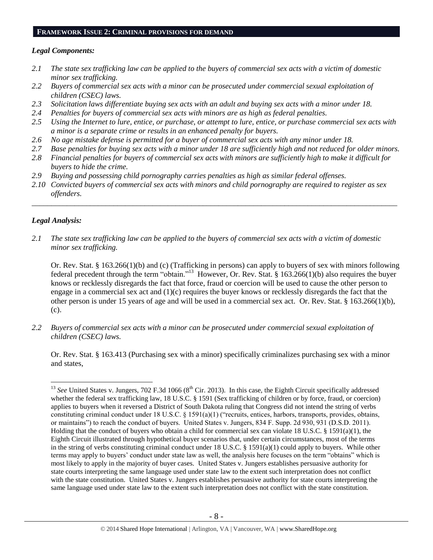#### **FRAMEWORK ISSUE 2: CRIMINAL PROVISIONS FOR DEMAND**

#### *Legal Components:*

- *2.1 The state sex trafficking law can be applied to the buyers of commercial sex acts with a victim of domestic minor sex trafficking.*
- *2.2 Buyers of commercial sex acts with a minor can be prosecuted under commercial sexual exploitation of children (CSEC) laws.*
- *2.3 Solicitation laws differentiate buying sex acts with an adult and buying sex acts with a minor under 18.*
- *2.4 Penalties for buyers of commercial sex acts with minors are as high as federal penalties.*
- *2.5 Using the Internet to lure, entice, or purchase, or attempt to lure, entice, or purchase commercial sex acts with a minor is a separate crime or results in an enhanced penalty for buyers.*
- *2.6 No age mistake defense is permitted for a buyer of commercial sex acts with any minor under 18.*
- *2.7 Base penalties for buying sex acts with a minor under 18 are sufficiently high and not reduced for older minors.*
- *2.8 Financial penalties for buyers of commercial sex acts with minors are sufficiently high to make it difficult for buyers to hide the crime.*
- *2.9 Buying and possessing child pornography carries penalties as high as similar federal offenses.*
- *2.10 Convicted buyers of commercial sex acts with minors and child pornography are required to register as sex offenders.*

\_\_\_\_\_\_\_\_\_\_\_\_\_\_\_\_\_\_\_\_\_\_\_\_\_\_\_\_\_\_\_\_\_\_\_\_\_\_\_\_\_\_\_\_\_\_\_\_\_\_\_\_\_\_\_\_\_\_\_\_\_\_\_\_\_\_\_\_\_\_\_\_\_\_\_\_\_\_\_\_\_\_\_\_\_\_\_\_\_\_\_\_\_\_

#### *Legal Analysis:*

*2.1 The state sex trafficking law can be applied to the buyers of commercial sex acts with a victim of domestic minor sex trafficking.*

Or. Rev. Stat. § 163.266(1)(b) and (c) (Trafficking in persons) can apply to buyers of sex with minors following federal precedent through the term "obtain."<sup>13</sup> However, Or. Rev. Stat. § 163.266(1)(b) also requires the buyer knows or recklessly disregards the fact that force, fraud or coercion will be used to cause the other person to engage in a commercial sex act and (1)(c) requires the buyer knows or recklessly disregards the fact that the other person is under 15 years of age and will be used in a commercial sex act. Or. Rev. Stat. § 163.266(1)(b), (c).

*2.2 Buyers of commercial sex acts with a minor can be prosecuted under commercial sexual exploitation of children (CSEC) laws.*

Or. Rev. Stat. § 163.413 (Purchasing sex with a minor) specifically criminalizes purchasing sex with a minor and states,

 $\overline{a}$ <sup>13</sup> *See* United States v. Jungers, 702 F.3d 1066 ( $8<sup>th</sup>$  Cir. 2013). In this case, the Eighth Circuit specifically addressed whether the federal sex trafficking law, 18 U.S.C. § 1591 (Sex trafficking of children or by force, fraud, or coercion) applies to buyers when it reversed a District of South Dakota ruling that Congress did not intend the string of verbs constituting criminal conduct under 18 U.S.C. § 1591(a)(1) ("recruits, entices, harbors, transports, provides, obtains, or maintains") to reach the conduct of buyers. United States v. Jungers, 834 F. Supp. 2d 930, 931 (D.S.D. 2011). Holding that the conduct of buyers who obtain a child for commercial sex can violate 18 U.S.C. § 1591(a)(1), the Eighth Circuit illustrated through hypothetical buyer scenarios that, under certain circumstances, most of the terms in the string of verbs constituting criminal conduct under 18 U.S.C. § 1591(a)(1) could apply to buyers. While other terms may apply to buyers' conduct under state law as well, the analysis here focuses on the term "obtains" which is most likely to apply in the majority of buyer cases. United States v. Jungers establishes persuasive authority for state courts interpreting the same language used under state law to the extent such interpretation does not conflict with the state constitution. United States v. Jungers establishes persuasive authority for state courts interpreting the same language used under state law to the extent such interpretation does not conflict with the state constitution.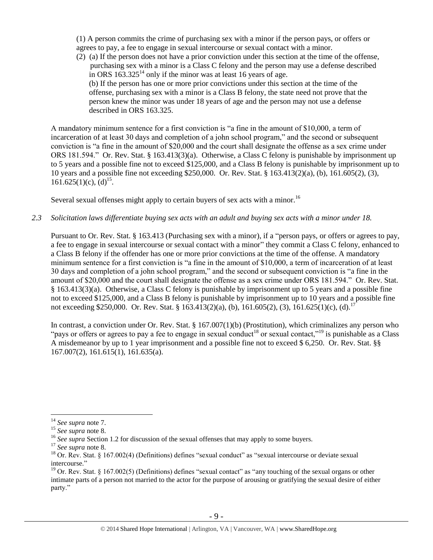(1) A person commits the crime of purchasing sex with a minor if the person pays, or offers or agrees to pay, a fee to engage in sexual intercourse or sexual contact with a minor.

(2) (a) If the person does not have a prior conviction under this section at the time of the offense, purchasing sex with a minor is a Class C felony and the person may use a defense described in ORS  $163.325^{14}$  only if the minor was at least 16 years of age. (b) If the person has one or more prior convictions under this section at the time of the offense, purchasing sex with a minor is a Class B felony, the state need not prove that the person knew the minor was under 18 years of age and the person may not use a defense described in ORS 163.325.

A mandatory minimum sentence for a first conviction is "a fine in the amount of \$10,000, a term of incarceration of at least 30 days and completion of a john school program," and the second or subsequent conviction is "a fine in the amount of \$20,000 and the court shall designate the offense as a sex crime under ORS 181.594." Or. Rev. Stat. § 163.413(3)(a). Otherwise, a Class C felony is punishable by imprisonment up to 5 years and a possible fine not to exceed \$125,000, and a Class B felony is punishable by imprisonment up to 10 years and a possible fine not exceeding \$250,000. Or. Rev. Stat. § 163.413(2)(a), (b), 161.605(2), (3),  $161.625(1)(c), (d)^{15}$ .

Several sexual offenses might apply to certain buyers of sex acts with a minor.<sup>16</sup>

*2.3 Solicitation laws differentiate buying sex acts with an adult and buying sex acts with a minor under 18.*

Pursuant to Or. Rev. Stat. § 163.413 (Purchasing sex with a minor), if a "person pays, or offers or agrees to pay, a fee to engage in sexual intercourse or sexual contact with a minor" they commit a Class C felony, enhanced to a Class B felony if the offender has one or more prior convictions at the time of the offense. A mandatory minimum sentence for a first conviction is "a fine in the amount of \$10,000, a term of incarceration of at least 30 days and completion of a john school program," and the second or subsequent conviction is "a fine in the amount of \$20,000 and the court shall designate the offense as a sex crime under ORS 181.594." Or. Rev. Stat. § 163.413(3)(a). Otherwise, a Class C felony is punishable by imprisonment up to 5 years and a possible fine not to exceed \$125,000, and a Class B felony is punishable by imprisonment up to 10 years and a possible fine not exceeding \$250,000. Or. Rev. Stat. § 163.413(2)(a), (b), 161.605(2), (3), 161.625(1)(c), (d).<sup>17</sup>

In contrast, a conviction under Or. Rev. Stat. § 167.007(1)(b) (Prostitution), which criminalizes any person who "pays or offers or agrees to pay a fee to engage in sexual conduct<sup>18</sup> or sexual contact,"<sup>19</sup> is punishable as a Class A misdemeanor by up to 1 year imprisonment and a possible fine not to exceed \$ 6,250. Or. Rev. Stat. §§ 167.007(2), 161.615(1), 161.635(a).

<sup>14</sup> *See supra* note [7.](#page-3-0)

<sup>15</sup> *See supra* note [8.](#page-3-1)

<sup>&</sup>lt;sup>16</sup> See supra Section 1.2 for discussion of the sexual offenses that may apply to some buyers.

<sup>17</sup> *See supra* note [8.](#page-3-1)

<sup>&</sup>lt;sup>18</sup> Or. Rev. Stat. § 167.002(4) (Definitions) defines "sexual conduct" as "sexual intercourse or deviate sexual intercourse."

 $19$  Or. Rev. Stat. § 167.002(5) (Definitions) defines "sexual contact" as "any touching of the sexual organs or other intimate parts of a person not married to the actor for the purpose of arousing or gratifying the sexual desire of either party."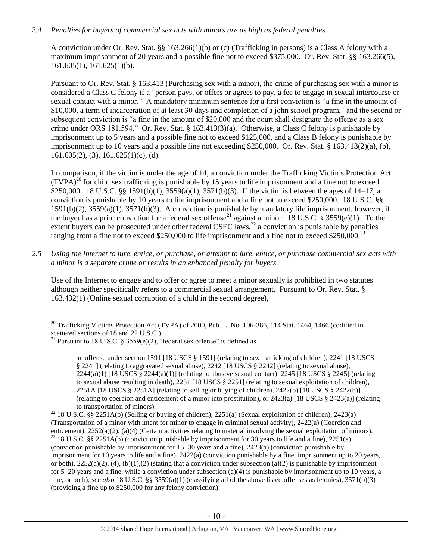# *2.4 Penalties for buyers of commercial sex acts with minors are as high as federal penalties.*

A conviction under Or. Rev. Stat. §§ 163.266(1)(b) or (c) (Trafficking in persons) is a Class A felony with a maximum imprisonment of 20 years and a possible fine not to exceed \$375,000. Or. Rev. Stat. §§ 163.266(5), 161.605(1), 161.625(1)(b).

Pursuant to Or. Rev. Stat. § 163.413 (Purchasing sex with a minor), the crime of purchasing sex with a minor is considered a Class C felony if a "person pays, or offers or agrees to pay, a fee to engage in sexual intercourse or sexual contact with a minor." A mandatory minimum sentence for a first conviction is "a fine in the amount of \$10,000, a term of incarceration of at least 30 days and completion of a john school program," and the second or subsequent conviction is "a fine in the amount of \$20,000 and the court shall designate the offense as a sex crime under ORS 181.594." Or. Rev. Stat. § 163.413(3)(a). Otherwise, a Class C felony is punishable by imprisonment up to 5 years and a possible fine not to exceed \$125,000, and a Class B felony is punishable by imprisonment up to 10 years and a possible fine not exceeding \$250,000. Or. Rev. Stat. § 163.413(2)(a), (b), 161.605(2), (3), 161.625(1)(c), (d).

<span id="page-9-1"></span><span id="page-9-0"></span>In comparison, if the victim is under the age of 14, a conviction under the Trafficking Victims Protection Act  $(TVPA)<sup>20</sup>$  for child sex trafficking is punishable by 15 years to life imprisonment and a fine not to exceed \$250,000. 18 U.S.C. §§ 1591(b)(1), 3559(a)(1), 3571(b)(3). If the victim is between the ages of 14–17, a conviction is punishable by 10 years to life imprisonment and a fine not to exceed \$250,000. 18 U.S.C. §§ 1591(b)(2), 3559(a)(1), 3571(b)(3). A conviction is punishable by mandatory life imprisonment, however, if the buyer has a prior conviction for a federal sex offense<sup>21</sup> against a minor. 18 U.S.C. § 3559(e)(1). To the extent buyers can be prosecuted under other federal CSEC laws,<sup>22</sup> a conviction is punishable by penalties ranging from a fine not to exceed \$250,000 to life imprisonment and a fine not to exceed \$250,000.<sup>23</sup>

*2.5 Using the Internet to lure, entice, or purchase, or attempt to lure, entice, or purchase commercial sex acts with a minor is a separate crime or results in an enhanced penalty for buyers.*

Use of the Internet to engage and to offer or agree to meet a minor sexually is prohibited in two statutes although neither specifically refers to a commercial sexual arrangement. Pursuant to Or. Rev. Stat. § 163.432(1) (Online sexual corruption of a child in the second degree),

 $\overline{a}$ 

an offense under section 1591 [18 USCS § 1591] (relating to sex trafficking of children), 2241 [18 USCS § 2241] (relating to aggravated sexual abuse), 2242 [18 USCS § 2242] (relating to sexual abuse), 2244(a)(1) [18 USCS § 2244(a)(1)] (relating to abusive sexual contact), 2245 [18 USCS § 2245] (relating to sexual abuse resulting in death), 2251 [18 USCS § 2251] (relating to sexual exploitation of children), 2251A [18 USCS § 2251A] (relating to selling or buying of children), 2422(b) [18 USCS § 2422(b)] (relating to coercion and enticement of a minor into prostitution), or 2423(a) [18 USCS § 2423(a)] (relating to transportation of minors).

<sup>22</sup> 18 U.S.C. §§ 2251A(b) (Selling or buying of children), 2251(a) (Sexual exploitation of children), 2423(a) (Transportation of a minor with intent for minor to engage in criminal sexual activity), 2422(a) (Coercion and enticement), 2252(a)(2), (a)(4) (Certain activities relating to material involving the sexual exploitation of minors). <sup>23</sup> 18 U.S.C. §§ 2251A(b) (conviction punishable by imprisonment for 30 years to life and a fine), 2251(e) (conviction punishable by imprisonment for 15–30 years and a fine), 2423(a) (conviction punishable by imprisonment for 10 years to life and a fine), 2422(a) (conviction punishable by a fine, imprisonment up to 20 years, or both),  $2252(a)(2)$ , (4), (b)(1),(2) (stating that a conviction under subsection (a)(2) is punishable by imprisonment for 5–20 years and a fine, while a conviction under subsection  $(a)(4)$  is punishable by imprisonment up to 10 years, a fine, or both); s*ee also* 18 U.S.C. §§ 3559(a)(1) (classifying all of the above listed offenses as felonies), 3571(b)(3) (providing a fine up to \$250,000 for any felony conviction).

 $20$  Trafficking Victims Protection Act (TVPA) of 2000, Pub. L. No. 106-386, 114 Stat. 1464, 1466 (codified in scattered sections of 18 and 22 U.S.C.).

<sup>&</sup>lt;sup>21</sup> Pursuant to 18 U.S.C. § 3559(e)(2), "federal sex offense" is defined as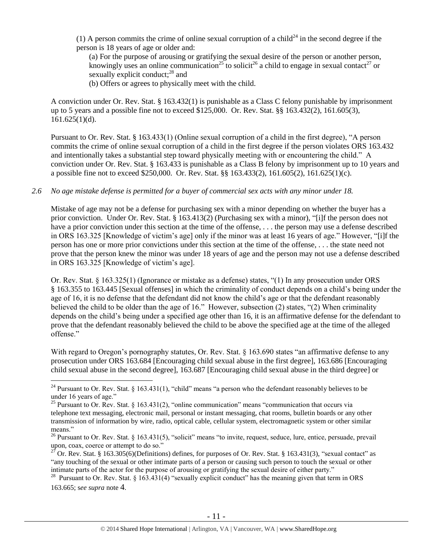(1) A person commits the crime of online sexual corruption of a child<sup>24</sup> in the second degree if the person is 18 years of age or older and:

<span id="page-10-1"></span><span id="page-10-0"></span>(a) For the purpose of arousing or gratifying the sexual desire of the person or another person, knowingly uses an online communication<sup>25</sup> to solicit<sup>26</sup> a child to engage in sexual contact<sup>27</sup> or sexually explicit conduct; $^{28}$  and

<span id="page-10-4"></span><span id="page-10-3"></span><span id="page-10-2"></span>(b) Offers or agrees to physically meet with the child.

A conviction under Or. Rev. Stat. § 163.432(1) is punishable as a Class C felony punishable by imprisonment up to 5 years and a possible fine not to exceed \$125,000. Or. Rev. Stat. §§ 163.432(2), 161.605(3),  $161.625(1)(d)$ .

Pursuant to Or. Rev. Stat. § 163.433(1) (Online sexual corruption of a child in the first degree), "A person commits the crime of online sexual corruption of a child in the first degree if the person violates ORS 163.432 and intentionally takes a substantial step toward physically meeting with or encountering the child." A conviction under Or. Rev. Stat. § 163.433 is punishable as a Class B felony by imprisonment up to 10 years and a possible fine not to exceed \$250,000. Or. Rev. Stat. §§ 163.433(2), 161.605(2), 161.625(1)(c).

#### *2.6 No age mistake defense is permitted for a buyer of commercial sex acts with any minor under 18.*

Mistake of age may not be a defense for purchasing sex with a minor depending on whether the buyer has a prior conviction. Under Or. Rev. Stat. § 163.413(2) (Purchasing sex with a minor), "[i]f the person does not have a prior conviction under this section at the time of the offense, ... the person may use a defense described in ORS 163.325 [Knowledge of victim's age] only if the minor was at least 16 years of age." However, "[i]f the person has one or more prior convictions under this section at the time of the offense, . . . the state need not prove that the person knew the minor was under 18 years of age and the person may not use a defense described in ORS 163.325 [Knowledge of victim's age].

Or. Rev. Stat. § 163.325(1) (Ignorance or mistake as a defense) states, "(1) In any prosecution under ORS § 163.355 to 163.445 [Sexual offenses] in which the criminality of conduct depends on a child's being under the age of 16, it is no defense that the defendant did not know the child's age or that the defendant reasonably believed the child to be older than the age of 16." However, subsection (2) states, "(2) When criminality depends on the child's being under a specified age other than 16, it is an affirmative defense for the defendant to prove that the defendant reasonably believed the child to be above the specified age at the time of the alleged offense."

With regard to Oregon's pornography statutes, Or. Rev. Stat. § 163.690 states "an affirmative defense to any prosecution under ORS 163.684 [Encouraging child sexual abuse in the first degree], 163.686 [Encouraging child sexual abuse in the second degree], 163.687 [Encouraging child sexual abuse in the third degree] or

<sup>&</sup>lt;sup>24</sup> Pursuant to Or. Rev. Stat. § 163.431(1), "child" means "a person who the defendant reasonably believes to be under 16 years of age."

<sup>&</sup>lt;sup>25</sup> Pursuant to Or. Rev. Stat. § 163.431(2), "online communication" means "communication that occurs via telephone text messaging, electronic mail, personal or instant messaging, chat rooms, bulletin boards or any other transmission of information by wire, radio, optical cable, cellular system, electromagnetic system or other similar means."

<sup>&</sup>lt;sup>26</sup> Pursuant to Or. Rev. Stat. § 163.431(5), "solicit" means "to invite, request, seduce, lure, entice, persuade, prevail upon, coax, coerce or attempt to do so."

<sup>&</sup>lt;sup>27</sup> Or. Rev. Stat. § 163.305(6)(Definitions) defines, for purposes of Or. Rev. Stat. § 163.431(3), "sexual contact" as "any touching of the sexual or other intimate parts of a person or causing such person to touch the sexual or other intimate parts of the actor for the purpose of arousing or gratifying the sexual desire of either party."

<sup>&</sup>lt;sup>28</sup> Pursuant to Or. Rev. Stat. § 163.431(4) "sexually explicit conduct" has the meaning given that term in ORS 163.665; s*ee supra* note [4](#page-2-0).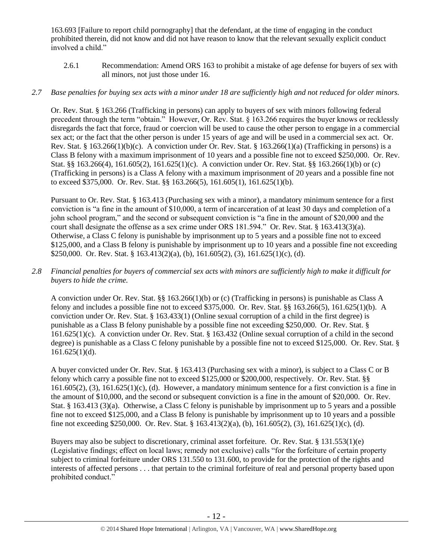163.693 [Failure to report child pornography] that the defendant, at the time of engaging in the conduct prohibited therein, did not know and did not have reason to know that the relevant sexually explicit conduct involved a child."

2.6.1 Recommendation: Amend ORS 163 to prohibit a mistake of age defense for buyers of sex with all minors, not just those under 16.

## *2.7 Base penalties for buying sex acts with a minor under 18 are sufficiently high and not reduced for older minors.*

Or. Rev. Stat. § 163.266 (Trafficking in persons) can apply to buyers of sex with minors following federal precedent through the term "obtain." However, Or. Rev. Stat. § 163.266 requires the buyer knows or recklessly disregards the fact that force, fraud or coercion will be used to cause the other person to engage in a commercial sex act; or the fact that the other person is under 15 years of age and will be used in a commercial sex act. Or. Rev. Stat. § 163.266(1)(b)(c). A conviction under Or. Rev. Stat. § 163.266(1)(a) (Trafficking in persons) is a Class B felony with a maximum imprisonment of 10 years and a possible fine not to exceed \$250,000. Or. Rev. Stat. §§ 163.266(4), 161.605(2), 161.625(1)(c). A conviction under Or. Rev. Stat. §§ 163.266(1)(b) or (c) (Trafficking in persons) is a Class A felony with a maximum imprisonment of 20 years and a possible fine not to exceed \$375,000. Or. Rev. Stat. §§ 163.266(5), 161.605(1), 161.625(1)(b).

Pursuant to Or. Rev. Stat. § 163.413 (Purchasing sex with a minor), a mandatory minimum sentence for a first conviction is "a fine in the amount of \$10,000, a term of incarceration of at least 30 days and completion of a john school program," and the second or subsequent conviction is "a fine in the amount of \$20,000 and the court shall designate the offense as a sex crime under ORS 181.594." Or. Rev. Stat. § 163.413(3)(a). Otherwise, a Class C felony is punishable by imprisonment up to 5 years and a possible fine not to exceed \$125,000, and a Class B felony is punishable by imprisonment up to 10 years and a possible fine not exceeding \$250,000. Or. Rev. Stat. § 163.413(2)(a), (b), 161.605(2), (3), 161.625(1)(c), (d).

## *2.8 Financial penalties for buyers of commercial sex acts with minors are sufficiently high to make it difficult for buyers to hide the crime.*

A conviction under Or. Rev. Stat. §§ 163.266(1)(b) or (c) (Trafficking in persons) is punishable as Class A felony and includes a possible fine not to exceed \$375,000. Or. Rev. Stat. §§ 163.266(5), 161.625(1)(b). A conviction under Or. Rev. Stat. § 163.433(1) (Online sexual corruption of a child in the first degree) is punishable as a Class B felony punishable by a possible fine not exceeding \$250,000. Or. Rev. Stat. § 161.625(1)(c). A conviction under Or. Rev. Stat. § 163.432 (Online sexual corruption of a child in the second degree) is punishable as a Class C felony punishable by a possible fine not to exceed \$125,000. Or. Rev. Stat. § 161.625(1)(d).

A buyer convicted under Or. Rev. Stat. § 163.413 (Purchasing sex with a minor), is subject to a Class C or B felony which carry a possible fine not to exceed \$125,000 or \$200,000, respectively. Or. Rev. Stat. §§  $161.605(2)$ ,  $(3)$ ,  $161.625(1)(c)$ ,  $(d)$ . However, a mandatory minimum sentence for a first conviction is a fine in the amount of \$10,000, and the second or subsequent conviction is a fine in the amount of \$20,000. Or. Rev. Stat. § 163.413 (3)(a). Otherwise, a Class C felony is punishable by imprisonment up to 5 years and a possible fine not to exceed \$125,000, and a Class B felony is punishable by imprisonment up to 10 years and a possible fine not exceeding \$250,000. Or. Rev. Stat. § 163.413(2)(a), (b), 161.605(2), (3), 161.625(1)(c), (d).

Buyers may also be subject to discretionary, criminal asset forfeiture. Or. Rev. Stat. § 131.553(1)(e) (Legislative findings; effect on local laws; remedy not exclusive) calls "for the forfeiture of certain property subject to criminal forfeiture under ORS 131.550 to 131.600, to provide for the protection of the rights and interests of affected persons . . . that pertain to the criminal forfeiture of real and personal property based upon prohibited conduct."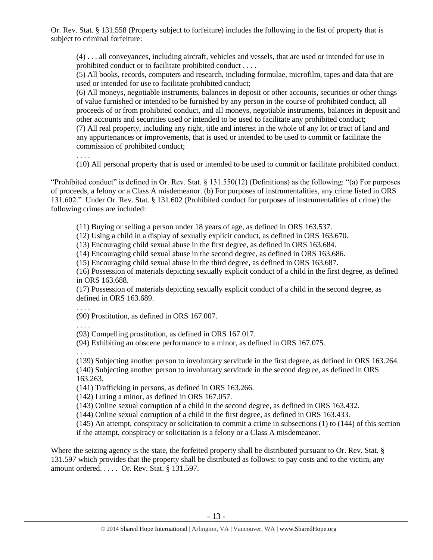Or. Rev. Stat. § 131.558 (Property subject to forfeiture) includes the following in the list of property that is subject to criminal forfeiture:

(4) . . . all conveyances, including aircraft, vehicles and vessels, that are used or intended for use in prohibited conduct or to facilitate prohibited conduct . . . .

(5) All books, records, computers and research, including formulae, microfilm, tapes and data that are used or intended for use to facilitate prohibited conduct;

(6) All moneys, negotiable instruments, balances in deposit or other accounts, securities or other things of value furnished or intended to be furnished by any person in the course of prohibited conduct, all proceeds of or from prohibited conduct, and all moneys, negotiable instruments, balances in deposit and other accounts and securities used or intended to be used to facilitate any prohibited conduct; (7) All real property, including any right, title and interest in the whole of any lot or tract of land and any appurtenances or improvements, that is used or intended to be used to commit or facilitate the

commission of prohibited conduct;

(10) All personal property that is used or intended to be used to commit or facilitate prohibited conduct.

"Prohibited conduct" is defined in Or. Rev. Stat. § 131.550(12) (Definitions) as the following: "(a) For purposes of proceeds, a felony or a Class A misdemeanor. (b) For purposes of instrumentalities, any crime listed in ORS 131.602." Under Or. Rev. Stat. § 131.602 (Prohibited conduct for purposes of instrumentalities of crime) the following crimes are included:

(11) Buying or selling a person under 18 years of age, as defined in ORS 163.537.

(12) Using a child in a display of sexually explicit conduct, as defined in ORS 163.670.

(13) Encouraging child sexual abuse in the first degree, as defined in ORS 163.684.

(14) Encouraging child sexual abuse in the second degree, as defined in ORS 163.686.

(15) Encouraging child sexual abuse in the third degree, as defined in ORS 163.687.

(16) Possession of materials depicting sexually explicit conduct of a child in the first degree, as defined in ORS 163.688.

(17) Possession of materials depicting sexually explicit conduct of a child in the second degree, as defined in ORS 163.689.

. . . .

. . . .

(90) Prostitution, as defined in ORS 167.007.

. . . .

(93) Compelling prostitution, as defined in ORS 167.017.

(94) Exhibiting an obscene performance to a minor, as defined in ORS 167.075.

. . . .

(139) Subjecting another person to involuntary servitude in the first degree, as defined in ORS 163.264. (140) Subjecting another person to involuntary servitude in the second degree, as defined in ORS 163.263.

(141) Trafficking in persons, as defined in ORS 163.266.

(142) Luring a minor, as defined in ORS 167.057.

(143) Online sexual corruption of a child in the second degree, as defined in ORS 163.432.

(144) Online sexual corruption of a child in the first degree, as defined in ORS 163.433.

(145) An attempt, conspiracy or solicitation to commit a crime in subsections (1) to (144) of this section

if the attempt, conspiracy or solicitation is a felony or a Class A misdemeanor.

Where the seizing agency is the state, the forfeited property shall be distributed pursuant to Or. Rev. Stat. § 131.597 which provides that the property shall be distributed as follows: to pay costs and to the victim, any amount ordered. . . . . Or. Rev. Stat. § 131.597.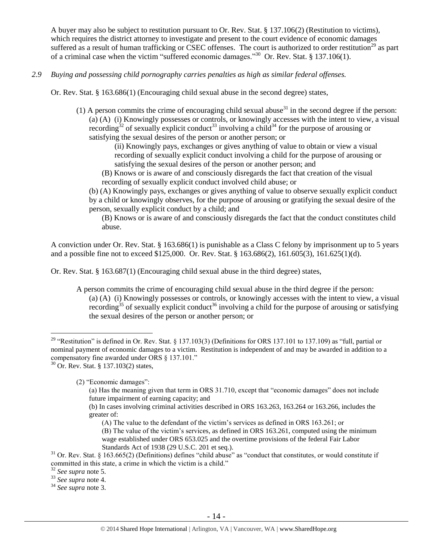A buyer may also be subject to restitution pursuant to Or. Rev. Stat. § 137.106(2) (Restitution to victims), which requires the district attorney to investigate and present to the court evidence of economic damages suffered as a result of human trafficking or CSEC offenses. The court is authorized to order restitution<sup>29</sup> as part of a criminal case when the victim "suffered economic damages."<sup>30</sup> Or. Rev. Stat. § 137.106(1).

*2.9 Buying and possessing child pornography carries penalties as high as similar federal offenses.*

Or. Rev. Stat. § 163.686(1) (Encouraging child sexual abuse in the second degree) states,

(1) A person commits the crime of encouraging child sexual abuse<sup>31</sup> in the second degree if the person: (a) (A) (i) Knowingly possesses or controls, or knowingly accesses with the intent to view, a visual recording<sup>32</sup> of sexually explicit conduct<sup>33</sup> involving a child<sup>34</sup> for the purpose of arousing or satisfying the sexual desires of the person or another person; or

<span id="page-13-1"></span><span id="page-13-0"></span>(ii) Knowingly pays, exchanges or gives anything of value to obtain or view a visual recording of sexually explicit conduct involving a child for the purpose of arousing or satisfying the sexual desires of the person or another person; and

(B) Knows or is aware of and consciously disregards the fact that creation of the visual recording of sexually explicit conduct involved child abuse; or

(b) (A) Knowingly pays, exchanges or gives anything of value to observe sexually explicit conduct by a child or knowingly observes, for the purpose of arousing or gratifying the sexual desire of the person, sexually explicit conduct by a child; and

(B) Knows or is aware of and consciously disregards the fact that the conduct constitutes child abuse.

A conviction under Or. Rev. Stat. § 163.686(1) is punishable as a Class C felony by imprisonment up to 5 years and a possible fine not to exceed \$125,000. Or. Rev. Stat. § 163.686(2), 161.605(3), 161.625(1)(d).

Or. Rev. Stat. § 163.687(1) (Encouraging child sexual abuse in the third degree) states,

A person commits the crime of encouraging child sexual abuse in the third degree if the person: (a) (A) (i) Knowingly possesses or controls, or knowingly accesses with the intent to view, a visual recording<sup>35</sup> of sexually explicit conduct<sup>36</sup> involving a child for the purpose of arousing or satisfying the sexual desires of the person or another person; or

 $\overline{a}$ <sup>29</sup> "Restitution" is defined in Or. Rev. Stat. § 137.103(3) (Definitions for ORS 137.101 to 137.109) as "full, partial or nominal payment of economic damages to a victim. Restitution is independent of and may be awarded in addition to a compensatory fine awarded under ORS § 137.101." <sup>30</sup> Or. Rev. Stat. § 137.103(2) states,

<sup>(2) &</sup>quot;Economic damages":

<sup>(</sup>a) Has the meaning given that term in ORS 31.710, except that "economic damages" does not include future impairment of earning capacity; and

<sup>(</sup>b) In cases involving criminal activities described in ORS 163.263, 163.264 or 163.266, includes the greater of:

<sup>(</sup>A) The value to the defendant of the victim's services as defined in ORS 163.261; or (B) The value of the victim's services, as defined in ORS 163.261, computed using the minimum wage established under ORS 653.025 and the overtime provisions of the federal Fair Labor Standards Act of 1938 (29 U.S.C. 201 et seq.).

 $31$  Or. Rev. Stat. § 163.665(2) (Definitions) defines "child abuse" as "conduct that constitutes, or would constitute if committed in this state, a crime in which the victim is a child."

<sup>32</sup> *See supra* note [5.](#page-2-1)

<sup>33</sup> *See supra* note [4.](#page-2-0)

<sup>34</sup> *See supra* note [3.](#page-2-2)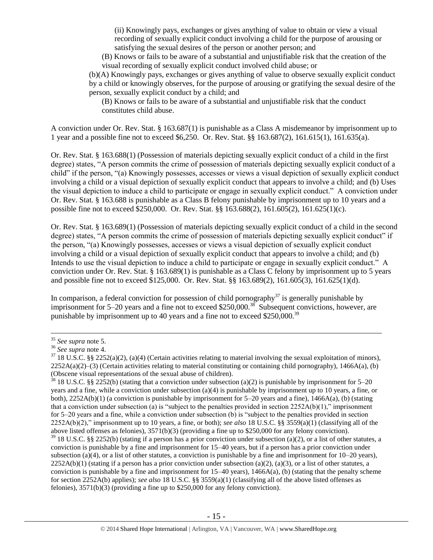(ii) Knowingly pays, exchanges or gives anything of value to obtain or view a visual recording of sexually explicit conduct involving a child for the purpose of arousing or satisfying the sexual desires of the person or another person; and

(B) Knows or fails to be aware of a substantial and unjustifiable risk that the creation of the visual recording of sexually explicit conduct involved child abuse; or

(b)(A) Knowingly pays, exchanges or gives anything of value to observe sexually explicit conduct by a child or knowingly observes, for the purpose of arousing or gratifying the sexual desire of the person, sexually explicit conduct by a child; and

(B) Knows or fails to be aware of a substantial and unjustifiable risk that the conduct constitutes child abuse.

A conviction under Or. Rev. Stat. § 163.687(1) is punishable as a Class A misdemeanor by imprisonment up to 1 year and a possible fine not to exceed \$6,250. Or. Rev. Stat. §§ 163.687(2), 161.615(1), 161.635(a).

Or. Rev. Stat. § 163.688(1) (Possession of materials depicting sexually explicit conduct of a child in the first degree) states, "A person commits the crime of possession of materials depicting sexually explicit conduct of a child" if the person, "(a) Knowingly possesses, accesses or views a visual depiction of sexually explicit conduct involving a child or a visual depiction of sexually explicit conduct that appears to involve a child; and (b) Uses the visual depiction to induce a child to participate or engage in sexually explicit conduct." A conviction under Or. Rev. Stat. § 163.688 is punishable as a Class B felony punishable by imprisonment up to 10 years and a possible fine not to exceed \$250,000. Or. Rev. Stat. §§ 163.688(2), 161.605(2), 161.625(1)(c).

Or. Rev. Stat. § 163.689(1) (Possession of materials depicting sexually explicit conduct of a child in the second degree) states, "A person commits the crime of possession of materials depicting sexually explicit conduct" if the person, "(a) Knowingly possesses, accesses or views a visual depiction of sexually explicit conduct involving a child or a visual depiction of sexually explicit conduct that appears to involve a child; and (b) Intends to use the visual depiction to induce a child to participate or engage in sexually explicit conduct." A conviction under Or. Rev. Stat. § 163.689(1) is punishable as a Class C felony by imprisonment up to 5 years and possible fine not to exceed \$125,000. Or. Rev. Stat. §§ 163.689(2), 161.605(3), 161.625(1)(d).

In comparison, a federal conviction for possession of child pornography<sup>37</sup> is generally punishable by imprisonment for 5–20 years and a fine not to exceed \$250,000.<sup>38</sup> Subsequent convictions, however, are punishable by imprisonment up to 40 years and a fine not to exceed \$250,000.<sup>39</sup>

 $\overline{a}$ 

<sup>38</sup> 18 U.S.C. §§ 2252(b) (stating that a conviction under subsection (a)(2) is punishable by imprisonment for 5–20 years and a fine, while a conviction under subsection (a)(4) is punishable by imprisonment up to 10 years, a fine, or both), 2252A(b)(1) (a conviction is punishable by imprisonment for 5–20 years and a fine), 1466A(a), (b) (stating that a conviction under subsection (a) is "subject to the penalties provided in section  $2252A(b)(1)$ ," imprisonment for 5–20 years and a fine, while a conviction under subsection (b) is "subject to the penalties provided in section 2252A(b)(2)," imprisonment up to 10 years, a fine, or both); *see also* 18 U.S.C. §§ 3559(a)(1) (classifying all of the above listed offenses as felonies), 3571(b)(3) (providing a fine up to \$250,000 for any felony conviction). <sup>39</sup> 18 U.S.C. §§ 2252(b) (stating if a person has a prior conviction under subsection (a)(2), or a list of other statutes, a conviction is punishable by a fine and imprisonment for 15–40 years, but if a person has a prior conviction under

subsection (a)(4), or a list of other statutes, a conviction is punishable by a fine and imprisonment for  $10-20$  years),  $2252A(b)(1)$  (stating if a person has a prior conviction under subsection (a)(2), (a)(3), or a list of other statutes, a conviction is punishable by a fine and imprisonment for  $15-40$  years),  $1466A(a)$ , (b) (stating that the penalty scheme for section 2252A(b) applies); *see also* 18 U.S.C. §§ 3559(a)(1) (classifying all of the above listed offenses as felonies), 3571(b)(3) (providing a fine up to \$250,000 for any felony conviction).

<sup>35</sup> *See supra* note [5.](#page-2-1)

<sup>36</sup> *See supra* note [4.](#page-2-0)

 $37$  18 U.S.C. §§ 2252(a)(2), (a)(4) (Certain activities relating to material involving the sexual exploitation of minors),  $2252A(a)(2)$ –(3) (Certain activities relating to material constituting or containing child pornography), 1466A(a), (b) (Obscene visual representations of the sexual abuse of children).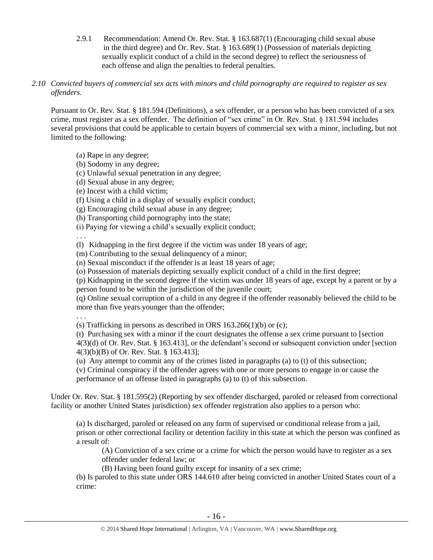2.9.1 Recommendation: Amend Or. Rev. Stat. § 163.687(1) (Encouraging child sexual abuse in the third degree) and Or. Rev. Stat. § 163.689(1) (Possession of materials depicting sexually explicit conduct of a child in the second degree) to reflect the seriousness of each offense and align the penalties to federal penalties.

## *2.10 Convicted buyers of commercial sex acts with minors and child pornography are required to register as sex offenders.*

Pursuant to Or. Rev. Stat. § 181.594 (Definitions), a sex offender, or a person who has been convicted of a sex crime, must register as a sex offender. The definition of "sex crime" in Or. Rev. Stat. § 181.594 includes several provisions that could be applicable to certain buyers of commercial sex with a minor, including, but not limited to the following:

(a) Rape in any degree;

(b) Sodomy in any degree;

(c) Unlawful sexual penetration in any degree;

(d) Sexual abuse in any degree;

(e) Incest with a child victim;

(f) Using a child in a display of sexually explicit conduct;

(g) Encouraging child sexual abuse in any degree;

(h) Transporting child pornography into the state;

(i) Paying for viewing a child's sexually explicit conduct;

. . .

(l) Kidnapping in the first degree if the victim was under 18 years of age;

(m) Contributing to the sexual delinquency of a minor;

(n) Sexual misconduct if the offender is at least 18 years of age;

(o) Possession of materials depicting sexually explicit conduct of a child in the first degree;

(p) Kidnapping in the second degree if the victim was under 18 years of age, except by a parent or by a person found to be within the jurisdiction of the juvenile court;

(q) Online sexual corruption of a child in any degree if the offender reasonably believed the child to be more than five years younger than the offender;

. . .

(s) Trafficking in persons as described in ORS  $163.266(1)(b)$  or (c);

(t) Purchasing sex with a minor if the court designates the offense a sex crime pursuant to [section 4(3)(d) of Or. Rev. Stat. § 163.413], or the defendant's second or subsequent conviction under [section 4(3)(b)(B) of Or. Rev. Stat. § 163.413];

(u) Any attempt to commit any of the crimes listed in paragraphs (a) to (t) of this subsection;

(v) Criminal conspiracy if the offender agrees with one or more persons to engage in or cause the performance of an offense listed in paragraphs (a) to (t) of this subsection.

Under Or. Rev. Stat. § 181.595(2) (Reporting by sex offender discharged, paroled or released from correctional facility or another United States jurisdiction) sex offender registration also applies to a person who:

(a) Is discharged, paroled or released on any form of supervised or conditional release from a jail, prison or other correctional facility or detention facility in this state at which the person was confined as a result of:

(A) Conviction of a sex crime or a crime for which the person would have to register as a sex offender under federal law; or

(B) Having been found guilty except for insanity of a sex crime;

(b) Is paroled to this state under ORS 144.610 after being convicted in another United States court of a crime: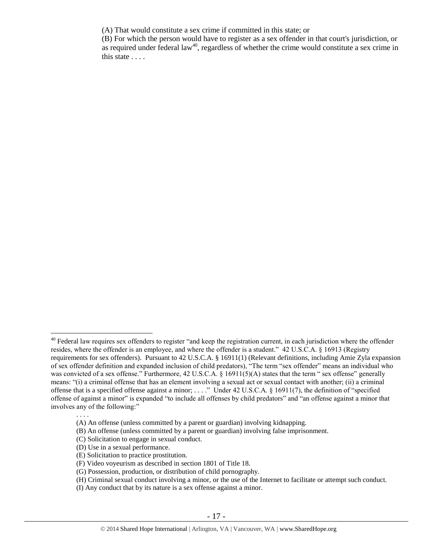(A) That would constitute a sex crime if committed in this state; or

<span id="page-16-0"></span>(B) For which the person would have to register as a sex offender in that court's jurisdiction, or as required under federal law<sup>40</sup>, regardless of whether the crime would constitute a sex crime in this state . . . .

. . . .

 $\overline{a}$  $40$  Federal law requires sex offenders to register "and keep the registration current, in each jurisdiction where the offender resides, where the offender is an employee, and where the offender is a student." 42 U.S.C.A. § 16913 (Registry requirements for sex offenders). Pursuant to 42 U.S.C.A. § 16911(1) (Relevant definitions, including Amie Zyla expansion of sex offender definition and expanded inclusion of child predators), "The term "sex offender" means an individual who was convicted of a sex offense." Furthermore, 42 U.S.C.A. § 16911(5)(A) states that the term " sex offense" generally means: "(i) a criminal offense that has an element involving a sexual act or sexual contact with another; (ii) a criminal offense that is a specified offense against a minor; ...," Under 42 U.S.C.A.  $\S$  16911(7), the definition of "specified offense of against a minor" is expanded "to include all offenses by child predators" and "an offense against a minor that involves any of the following:"

<sup>(</sup>A) An offense (unless committed by a parent or guardian) involving kidnapping.

<sup>(</sup>B) An offense (unless committed by a parent or guardian) involving false imprisonment.

<sup>(</sup>C) Solicitation to engage in sexual conduct.

<sup>(</sup>D) Use in a sexual performance.

<sup>(</sup>E) Solicitation to practice prostitution.

<sup>(</sup>F) Video voyeurism as described in [section 1801 of Title 18.](https://1.next.westlaw.com/Link/Document/FullText?findType=L&pubNum=1000546&cite=18USCAS1801&originatingDoc=N61E9B1E02C9B11DBB179FACF3E96AFAD&refType=LQ&originationContext=document&transitionType=DocumentItem&contextData=(sc.Search))

<sup>(</sup>G) Possession, production, or distribution of child pornography.

<sup>(</sup>H) Criminal sexual conduct involving a minor, or the use of the Internet to facilitate or attempt such conduct.

<sup>(</sup>I) Any conduct that by its nature is a sex offense against a minor.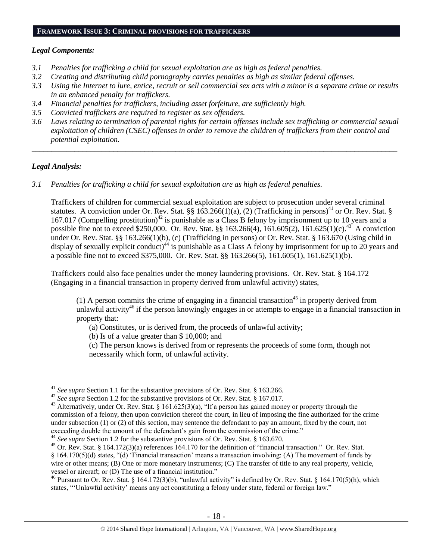## **FRAMEWORK ISSUE 3: CRIMINAL PROVISIONS FOR TRAFFICKERS**

#### *Legal Components:*

- *3.1 Penalties for trafficking a child for sexual exploitation are as high as federal penalties.*
- *3.2 Creating and distributing child pornography carries penalties as high as similar federal offenses.*
- *3.3 Using the Internet to lure, entice, recruit or sell commercial sex acts with a minor is a separate crime or results in an enhanced penalty for traffickers.*
- *3.4 Financial penalties for traffickers, including asset forfeiture, are sufficiently high.*
- *3.5 Convicted traffickers are required to register as sex offenders.*
- *3.6 Laws relating to termination of parental rights for certain offenses include sex trafficking or commercial sexual exploitation of children (CSEC) offenses in order to remove the children of traffickers from their control and potential exploitation.*

*\_\_\_\_\_\_\_\_\_\_\_\_\_\_\_\_\_\_\_\_\_\_\_\_\_\_\_\_\_\_\_\_\_\_\_\_\_\_\_\_\_\_\_\_\_\_\_\_\_\_\_\_\_\_\_\_\_\_\_\_\_\_\_\_\_\_\_\_\_\_\_\_\_\_\_\_\_\_\_\_\_\_\_\_\_\_\_\_\_\_\_\_\_\_*

## *Legal Analysis:*

 $\overline{a}$ 

*3.1 Penalties for trafficking a child for sexual exploitation are as high as federal penalties.* 

Traffickers of children for commercial sexual exploitation are subject to prosecution under several criminal statutes. A conviction under Or. Rev. Stat. §§ 163.266(1)(a), (2) (Trafficking in persons)<sup>41</sup> or Or. Rev. Stat. § 167.017 (Compelling prostitution)<sup>42</sup> is punishable as a Class B felony by imprisonment up to 10 years and a possible fine not to exceed \$250,000. Or. Rev. Stat. §§ 163.266(4), 161.605(2), 161.625(1)(c).<sup>43</sup> A conviction under Or. Rev. Stat. §§ 163.266(1)(b), (c) (Trafficking in persons) or Or. Rev. Stat. § 163.670 (Using child in display of sexually explicit conduct)<sup>44</sup> is punishable as a Class A felony by imprisonment for up to 20 years and a possible fine not to exceed \$375,000. Or. Rev. Stat. §§ 163.266(5), 161.605(1), 161.625(1)(b).

Traffickers could also face penalties under the money laundering provisions. Or. Rev. Stat. § 164.172 (Engaging in a financial transaction in property derived from unlawful activity) states,

(1) A person commits the crime of engaging in a financial transaction<sup>45</sup> in property derived from unlawful activity<sup>46</sup> if the person knowingly engages in or attempts to engage in a financial transaction in property that:

<span id="page-17-2"></span><span id="page-17-1"></span><span id="page-17-0"></span>(a) Constitutes, or is derived from, the proceeds of unlawful activity;

(b) Is of a value greater than \$ 10,000; and

(c) The person knows is derived from or represents the proceeds of some form, though not necessarily which form, of unlawful activity.

<sup>44</sup> *See supra* Section 1.2 for the substantive provisions of Or. Rev. Stat. § 163.670.

<sup>41</sup> *See supra* Section 1.1 for the substantive provisions of Or. Rev. Stat. § 163.266.

<sup>42</sup> *See supra* Section 1.2 for the substantive provisions of Or. Rev. Stat. § 167.017.

<sup>&</sup>lt;sup>43</sup> Alternatively, under Or. Rev. Stat. § 161.625(3)(a), "If a person has gained money or property through the commission of a felony, then upon conviction thereof the court, in lieu of imposing the fine authorized for the crime under subsection (1) or (2) of this section, may sentence the defendant to pay an amount, fixed by the court, not exceeding double the amount of the defendant's gain from the commission of the crime."

<sup>&</sup>lt;sup>45</sup> Or. Rev. Stat. § 164.172(3)(a) references 164.170 for the definition of "financial transaction." Or. Rev. Stat. § 164.170(5)(d) states, "(d) 'Financial transaction' means a transaction involving: (A) The movement of funds by wire or other means; (B) One or more monetary instruments; (C) The transfer of title to any real property, vehicle, vessel or aircraft; or (D) The use of a financial institution."

<sup>&</sup>lt;sup>46</sup> Pursuant to Or. Rev. Stat. § 164.172(3)(b), "unlawful activity" is defined by Or. Rev. Stat. § 164.170(5)(h), which states, "'Unlawful activity' means any act constituting a felony under state, federal or foreign law."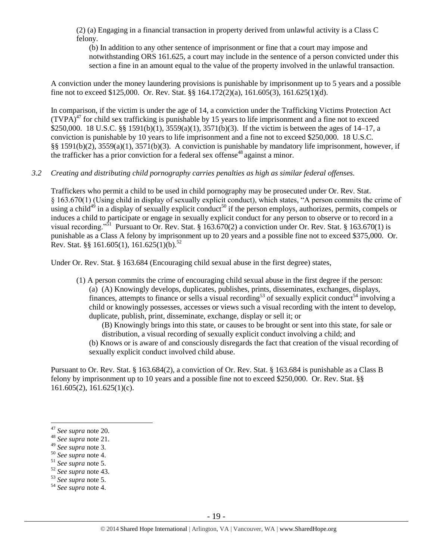(2) (a) Engaging in a financial transaction in property derived from unlawful activity is a Class C felony.

(b) In addition to any other sentence of imprisonment or fine that a court may impose and notwithstanding ORS 161.625, a court may include in the sentence of a person convicted under this section a fine in an amount equal to the value of the property involved in the unlawful transaction.

A conviction under the money laundering provisions is punishable by imprisonment up to 5 years and a possible fine not to exceed \$125,000. Or. Rev. Stat. §§ 164.172(2)(a), 161.605(3), 161.625(1)(d).

In comparison, if the victim is under the age of 14, a conviction under the Trafficking Victims Protection Act  $(TVPA)<sup>47</sup>$  for child sex trafficking is punishable by 15 years to life imprisonment and a fine not to exceed \$250,000. 18 U.S.C. §§ 1591(b)(1), 3559(a)(1), 3571(b)(3). If the victim is between the ages of 14–17, a conviction is punishable by 10 years to life imprisonment and a fine not to exceed \$250,000. 18 U.S.C. §§ 1591(b)(2), 3559(a)(1), 3571(b)(3). A conviction is punishable by mandatory life imprisonment, however, if the trafficker has a prior conviction for a federal sex offense<sup>48</sup> against a minor.

## *3.2 Creating and distributing child pornography carries penalties as high as similar federal offenses.*

Traffickers who permit a child to be used in child pornography may be prosecuted under Or. Rev. Stat. § 163.670(1) (Using child in display of sexually explicit conduct), which states, "A person commits the crime of using a child<sup>49</sup> in a display of sexually explicit conduct<sup>50</sup> if the person employs, authorizes, permits, compels or induces a child to participate or engage in sexually explicit conduct for any person to observe or to record in a visual recording."<sup>51</sup> Pursuant to Or. Rev. Stat. § 163.670(2) a conviction under Or. Rev. Stat. § 163.670(1) is punishable as a Class A felony by imprisonment up to 20 years and a possible fine not to exceed \$375,000. Or. Rev. Stat. §§ 161.605(1), 161.625(1)(b).<sup>52</sup>

Under Or. Rev. Stat. § 163.684 (Encouraging child sexual abuse in the first degree) states,

(1) A person commits the crime of encouraging child sexual abuse in the first degree if the person: (a) (A) Knowingly develops, duplicates, publishes, prints, disseminates, exchanges, displays, finances, attempts to finance or sells a visual recording<sup>53</sup> of sexually explicit conduct<sup>54</sup> involving a child or knowingly possesses, accesses or views such a visual recording with the intent to develop, duplicate, publish, print, disseminate, exchange, display or sell it; or

(B) Knowingly brings into this state, or causes to be brought or sent into this state, for sale or distribution, a visual recording of sexually explicit conduct involving a child; and

(b) Knows or is aware of and consciously disregards the fact that creation of the visual recording of sexually explicit conduct involved child abuse.

Pursuant to Or. Rev. Stat. § 163.684(2), a conviction of Or. Rev. Stat. § 163.684 is punishable as a Class B felony by imprisonment up to 10 years and a possible fine not to exceed \$250,000. Or. Rev. Stat. §§  $161.605(2)$ ,  $161.625(1)(c)$ .

<sup>47</sup> *See supra* note [20.](#page-9-0)

<sup>48</sup> *See supra* note [21.](#page-9-1)

<sup>49</sup> *See supra* note [3.](#page-2-2)

<sup>50</sup> *See supra* note [4.](#page-2-0)

<sup>51</sup> *See supra* note [5.](#page-2-1)

<sup>52</sup> *See supra* note [43.](#page-17-0)

<sup>53</sup> *See supra* note [5.](#page-2-1)

<sup>54</sup> *See supra* note [4.](#page-2-0)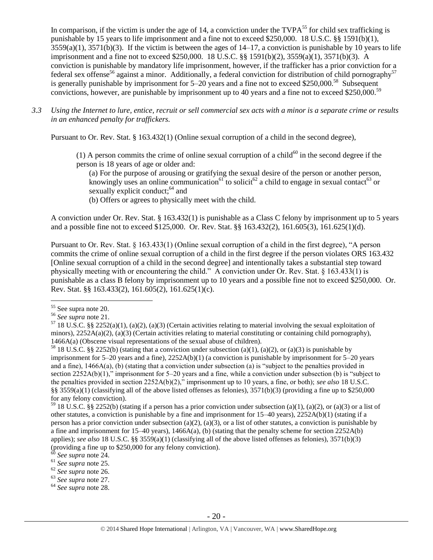In comparison, if the victim is under the age of 14, a conviction under the  $TVPA<sup>55</sup>$  for child sex trafficking is punishable by 15 years to life imprisonment and a fine not to exceed \$250,000. 18 U.S.C. §§ 1591(b)(1),  $3559(a)(1)$ ,  $3571(b)(3)$ . If the victim is between the ages of  $14-17$ , a conviction is punishable by 10 years to life imprisonment and a fine not to exceed \$250,000. 18 U.S.C. §§ 1591(b)(2), 3559(a)(1), 3571(b)(3). A conviction is punishable by mandatory life imprisonment, however, if the trafficker has a prior conviction for a federal sex offense<sup>56</sup> against a minor. Additionally, a federal conviction for distribution of child pornography<sup>57</sup> is generally punishable by imprisonment for  $5-20$  years and a fine not to exceed \$250,000.<sup>58</sup> Subsequent convictions, however, are punishable by imprisonment up to 40 years and a fine not to exceed \$250,000.<sup>59</sup>

*3.3 Using the Internet to lure, entice, recruit or sell commercial sex acts with a minor is a separate crime or results in an enhanced penalty for traffickers.*

Pursuant to Or. Rev. Stat. § 163.432(1) (Online sexual corruption of a child in the second degree),

(1) A person commits the crime of online sexual corruption of a child $^{60}$  in the second degree if the person is 18 years of age or older and:

(a) For the purpose of arousing or gratifying the sexual desire of the person or another person, knowingly uses an online communication<sup>61</sup> to solicit<sup>62</sup> a child to engage in sexual contact<sup>63</sup> or sexually explicit conduct; $^{64}$  and

(b) Offers or agrees to physically meet with the child.

A conviction under Or. Rev. Stat. § 163.432(1) is punishable as a Class C felony by imprisonment up to 5 years and a possible fine not to exceed \$125,000. Or. Rev. Stat. §§ 163.432(2), 161.605(3), 161.625(1)(d).

Pursuant to Or. Rev. Stat. § 163.433(1) (Online sexual corruption of a child in the first degree), "A person commits the crime of online sexual corruption of a child in the first degree if the person violates ORS 163.432 [Online sexual corruption of a child in the second degree] and intentionally takes a substantial step toward physically meeting with or encountering the child." A conviction under Or. Rev. Stat. § 163.433(1) is punishable as a class B felony by imprisonment up to 10 years and a possible fine not to exceed \$250,000. Or. Rev. Stat. §§ 163.433(2), 161.605(2), 161.625(1)(c).

<sup>&</sup>lt;sup>55</sup> See supra note [20.](#page-9-0)

<sup>56</sup> *See supra* note [21.](#page-9-1)

<sup>57 18</sup> U.S.C. §§ 2252(a)(1), (a)(2), (a)(3) (Certain activities relating to material involving the sexual exploitation of minors),  $2252A(a)(2)$ ,  $(a)(3)$  (Certain activities relating to material constituting or containing child pornography), 1466A(a) (Obscene visual representations of the sexual abuse of children).

<sup>&</sup>lt;sup>58</sup> 18 U.S.C. §§ 2252(b) (stating that a conviction under subsection (a)(1), (a)(2), or (a)(3) is punishable by imprisonment for 5–20 years and a fine), 2252A(b)(1) (a conviction is punishable by imprisonment for 5–20 years and a fine), 1466A(a), (b) (stating that a conviction under subsection (a) is "subject to the penalties provided in section 2252A(b)(1)," imprisonment for 5–20 years and a fine, while a conviction under subsection (b) is "subject to the penalties provided in section 2252A(b)(2)," imprisonment up to 10 years, a fine, or both); *see also* 18 U.S.C. §§ 3559(a)(1) (classifying all of the above listed offenses as felonies),  $3571(b)(3)$  (providing a fine up to \$250,000 for any felony conviction).

 $59$  18 U.S.C. §§ 2252(b) (stating if a person has a prior conviction under subsection (a)(1), (a)(2), or (a)(3) or a list of other statutes, a conviction is punishable by a fine and imprisonment for 15–40 years), 2252A(b)(1) (stating if a person has a prior conviction under subsection (a)(2), (a)(3), or a list of other statutes, a conviction is punishable by a fine and imprisonment for  $15-40$  years),  $1466A(a)$ , (b) (stating that the penalty scheme for section  $2252A(b)$ applies); *see also* 18 U.S.C. §§ 3559(a)(1) (classifying all of the above listed offenses as felonies), 3571(b)(3) (providing a fine up to \$250,000 for any felony conviction).

<sup>60</sup> *See supra* note [24.](#page-10-0)

<sup>61</sup> *See supra* note [25.](#page-10-1)

<sup>62</sup> *See supra* note [26.](#page-10-2)

<sup>63</sup> *See supra* note [27.](#page-10-3)

<sup>64</sup> *See supra* note [28.](#page-10-4)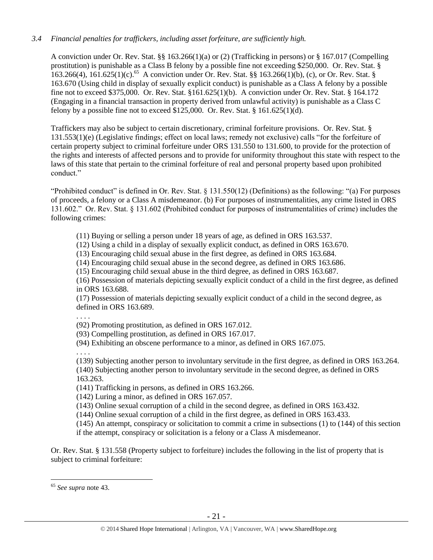# *3.4 Financial penalties for traffickers, including asset forfeiture, are sufficiently high.*

A conviction under Or. Rev. Stat. §§ 163.266(1)(a) or (2) (Trafficking in persons) or § 167.017 (Compelling prostitution) is punishable as a Class B felony by a possible fine not exceeding \$250,000. Or. Rev. Stat. § 163.266(4), 161.625(1)(c).<sup>65</sup> A conviction under Or. Rev. Stat. §§ 163.266(1)(b), (c), or Or. Rev. Stat. § 163.670 (Using child in display of sexually explicit conduct) is punishable as a Class A felony by a possible fine not to exceed \$375,000. Or. Rev. Stat. §161.625(1)(b). A conviction under Or. Rev. Stat. § 164.172 (Engaging in a financial transaction in property derived from unlawful activity) is punishable as a Class C felony by a possible fine not to exceed \$125,000. Or. Rev. Stat. § 161.625(1)(d).

Traffickers may also be subject to certain discretionary, criminal forfeiture provisions. Or. Rev. Stat. § 131.553(1)(e) (Legislative findings; effect on local laws; remedy not exclusive) calls "for the forfeiture of certain property subject to criminal forfeiture under ORS 131.550 to 131.600, to provide for the protection of the rights and interests of affected persons and to provide for uniformity throughout this state with respect to the laws of this state that pertain to the criminal forfeiture of real and personal property based upon prohibited conduct."

"Prohibited conduct" is defined in Or. Rev. Stat. § 131.550(12) (Definitions) as the following: "(a) For purposes of proceeds, a felony or a Class A misdemeanor. (b) For purposes of instrumentalities, any crime listed in ORS 131.602." Or. Rev. Stat. § 131.602 (Prohibited conduct for purposes of instrumentalities of crime) includes the following crimes:

(11) Buying or selling a person under 18 years of age, as defined in ORS 163.537.

(12) Using a child in a display of sexually explicit conduct, as defined in ORS 163.670.

(13) Encouraging child sexual abuse in the first degree, as defined in ORS 163.684.

(14) Encouraging child sexual abuse in the second degree, as defined in ORS 163.686.

(15) Encouraging child sexual abuse in the third degree, as defined in ORS 163.687.

(16) Possession of materials depicting sexually explicit conduct of a child in the first degree, as defined in ORS 163.688.

(17) Possession of materials depicting sexually explicit conduct of a child in the second degree, as defined in ORS 163.689.

. . . .

(92) Promoting prostitution, as defined in ORS 167.012.

(93) Compelling prostitution, as defined in ORS 167.017.

(94) Exhibiting an obscene performance to a minor, as defined in ORS 167.075.

. . . .

(139) Subjecting another person to involuntary servitude in the first degree, as defined in ORS 163.264. (140) Subjecting another person to involuntary servitude in the second degree, as defined in ORS 163.263.

(141) Trafficking in persons, as defined in ORS 163.266.

(142) Luring a minor, as defined in ORS 167.057.

(143) Online sexual corruption of a child in the second degree, as defined in ORS 163.432.

(144) Online sexual corruption of a child in the first degree, as defined in ORS 163.433.

(145) An attempt, conspiracy or solicitation to commit a crime in subsections (1) to (144) of this section if the attempt, conspiracy or solicitation is a felony or a Class A misdemeanor.

Or. Rev. Stat. § 131.558 (Property subject to forfeiture) includes the following in the list of property that is subject to criminal forfeiture:

<sup>65</sup> *See supra* note [43.](#page-17-0)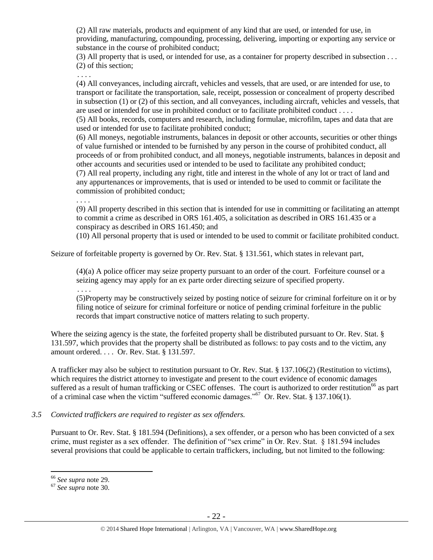(2) All raw materials, products and equipment of any kind that are used, or intended for use, in providing, manufacturing, compounding, processing, delivering, importing or exporting any service or substance in the course of prohibited conduct;

(3) All property that is used, or intended for use, as a container for property described in subsection . . . (2) of this section;

. . . .

(4) All conveyances, including aircraft, vehicles and vessels, that are used, or are intended for use, to transport or facilitate the transportation, sale, receipt, possession or concealment of property described in subsection (1) or (2) of this section, and all conveyances, including aircraft, vehicles and vessels, that are used or intended for use in prohibited conduct or to facilitate prohibited conduct . . . .

(5) All books, records, computers and research, including formulae, microfilm, tapes and data that are used or intended for use to facilitate prohibited conduct;

(6) All moneys, negotiable instruments, balances in deposit or other accounts, securities or other things of value furnished or intended to be furnished by any person in the course of prohibited conduct, all proceeds of or from prohibited conduct, and all moneys, negotiable instruments, balances in deposit and other accounts and securities used or intended to be used to facilitate any prohibited conduct; (7) All real property, including any right, title and interest in the whole of any lot or tract of land and any appurtenances or improvements, that is used or intended to be used to commit or facilitate the commission of prohibited conduct;

. . . .

. . . .

(9) All property described in this section that is intended for use in committing or facilitating an attempt to commit a crime as described in ORS 161.405, a solicitation as described in ORS 161.435 or a conspiracy as described in ORS 161.450; and

(10) All personal property that is used or intended to be used to commit or facilitate prohibited conduct.

Seizure of forfeitable property is governed by Or. Rev. Stat. § 131.561, which states in relevant part,

(4)(a) A police officer may seize property pursuant to an order of the court. Forfeiture counsel or a seizing agency may apply for an ex parte order directing seizure of specified property.

(5)Property may be constructively seized by posting notice of seizure for criminal forfeiture on it or by filing notice of seizure for criminal forfeiture or notice of pending criminal forfeiture in the public records that impart constructive notice of matters relating to such property.

Where the seizing agency is the state, the forfeited property shall be distributed pursuant to Or. Rev. Stat. § 131.597, which provides that the property shall be distributed as follows: to pay costs and to the victim, any amount ordered. . . . Or. Rev. Stat. § 131.597.

A trafficker may also be subject to restitution pursuant to Or. Rev. Stat. § 137.106(2) (Restitution to victims), which requires the district attorney to investigate and present to the court evidence of economic damages suffered as a result of human trafficking or CSEC offenses. The court is authorized to order restitution<sup>66</sup> as part of a criminal case when the victim "suffered economic damages."<sup>67</sup> Or. Rev. Stat. § 137.106(1).

#### *3.5 Convicted traffickers are required to register as sex offenders.*

Pursuant to Or. Rev. Stat. § 181.594 (Definitions), a sex offender, or a person who has been convicted of a sex crime, must register as a sex offender. The definition of "sex crime" in Or. Rev. Stat. § 181.594 includes several provisions that could be applicable to certain traffickers, including, but not limited to the following:

<sup>66</sup> *See supra* note [29.](#page-13-0) 

<sup>67</sup> *See supra* note [30.](#page-13-1)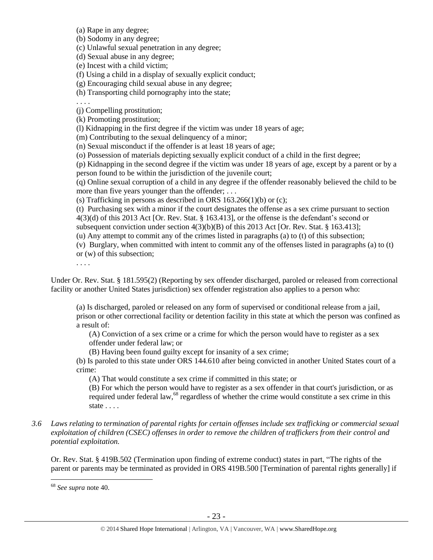(a) Rape in any degree;

(b) Sodomy in any degree;

(c) Unlawful sexual penetration in any degree;

(d) Sexual abuse in any degree;

(e) Incest with a child victim;

(f) Using a child in a display of sexually explicit conduct;

(g) Encouraging child sexual abuse in any degree;

(h) Transporting child pornography into the state;

. . . .

(j) Compelling prostitution;

(k) Promoting prostitution;

(l) Kidnapping in the first degree if the victim was under 18 years of age;

(m) Contributing to the sexual delinquency of a minor;

(n) Sexual misconduct if the offender is at least 18 years of age;

(o) Possession of materials depicting sexually explicit conduct of a child in the first degree;

(p) Kidnapping in the second degree if the victim was under 18 years of age, except by a parent or by a person found to be within the jurisdiction of the juvenile court;

(q) Online sexual corruption of a child in any degree if the offender reasonably believed the child to be more than five years younger than the offender; ...

(s) Trafficking in persons as described in ORS  $163.266(1)(b)$  or (c);

(t) Purchasing sex with a minor if the court designates the offense as a sex crime pursuant to section 4(3)(d) of this 2013 Act [Or. Rev. Stat. § 163.413], or the offense is the defendant's second or subsequent conviction under section 4(3)(b)(B) of this 2013 Act [Or. Rev. Stat. § 163.413];

(u) Any attempt to commit any of the crimes listed in paragraphs (a) to (t) of this subsection;

(v) Burglary, when committed with intent to commit any of the offenses listed in paragraphs (a) to (t) or (w) of this subsection;

. . . .

Under Or. Rev. Stat. § 181.595(2) (Reporting by sex offender discharged, paroled or released from correctional facility or another United States jurisdiction) sex offender registration also applies to a person who:

(a) Is discharged, paroled or released on any form of supervised or conditional release from a jail, prison or other correctional facility or detention facility in this state at which the person was confined as a result of:

(A) Conviction of a sex crime or a crime for which the person would have to register as a sex offender under federal law; or

(B) Having been found guilty except for insanity of a sex crime;

(b) Is paroled to this state under ORS 144.610 after being convicted in another United States court of a crime:

(A) That would constitute a sex crime if committed in this state; or

(B) For which the person would have to register as a sex offender in that court's jurisdiction, or as required under federal law,<sup>68</sup> regardless of whether the crime would constitute a sex crime in this state . . . .

*3.6 Laws relating to termination of parental rights for certain offenses include sex trafficking or commercial sexual exploitation of children (CSEC) offenses in order to remove the children of traffickers from their control and potential exploitation.* 

Or. Rev. Stat. § 419B.502 (Termination upon finding of extreme conduct) states in part, "The rights of the parent or parents may be terminated as provided in ORS 419B.500 [Termination of parental rights generally] if

<sup>68</sup> *See supra* note [40.](#page-16-0)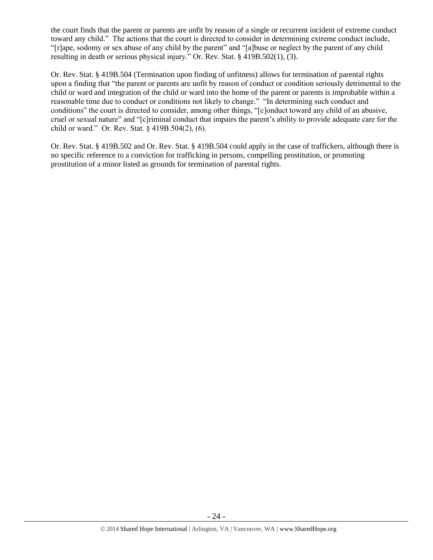the court finds that the parent or parents are unfit by reason of a single or recurrent incident of extreme conduct toward any child." The actions that the court is directed to consider in determining extreme conduct include, "[r]ape, sodomy or sex abuse of any child by the parent" and "[a]buse or neglect by the parent of any child resulting in death or serious physical injury." Or. Rev. Stat. § 419B.502(1), (3).

Or. Rev. Stat. § 419B.504 (Termination upon finding of unfitness) allows for termination of parental rights upon a finding that "the parent or parents are unfit by reason of conduct or condition seriously detrimental to the child or ward and integration of the child or ward into the home of the parent or parents is improbable within a reasonable time due to conduct or conditions not likely to change." "In determining such conduct and conditions" the court is directed to consider, among other things, "[c]onduct toward any child of an abusive, cruel or sexual nature" and "[c]riminal conduct that impairs the parent's ability to provide adequate care for the child or ward." Or. Rev. Stat. § 419B.504(2), (6).

Or. Rev. Stat. § 419B.502 and Or. Rev. Stat. § 419B.504 could apply in the case of traffickers, although there is no specific reference to a conviction for trafficking in persons, compelling prostitution, or promoting prostitution of a minor listed as grounds for termination of parental rights.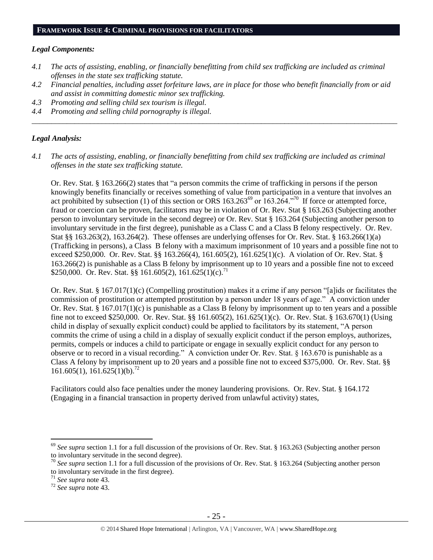#### **FRAMEWORK ISSUE 4: CRIMINAL PROVISIONS FOR FACILITATORS**

#### *Legal Components:*

- *4.1 The acts of assisting, enabling, or financially benefitting from child sex trafficking are included as criminal offenses in the state sex trafficking statute.*
- *4.2 Financial penalties, including asset forfeiture laws, are in place for those who benefit financially from or aid and assist in committing domestic minor sex trafficking.*

*\_\_\_\_\_\_\_\_\_\_\_\_\_\_\_\_\_\_\_\_\_\_\_\_\_\_\_\_\_\_\_\_\_\_\_\_\_\_\_\_\_\_\_\_\_\_\_\_\_\_\_\_\_\_\_\_\_\_\_\_\_\_\_\_\_\_\_\_\_\_\_\_\_\_\_\_\_\_\_\_\_\_\_\_\_\_\_\_\_\_\_\_\_\_*

- *4.3 Promoting and selling child sex tourism is illegal.*
- *4.4 Promoting and selling child pornography is illegal.*

#### *Legal Analysis:*

*4.1 The acts of assisting, enabling, or financially benefitting from child sex trafficking are included as criminal offenses in the state sex trafficking statute.*

Or. Rev. Stat. § 163.266(2) states that "a person commits the crime of trafficking in persons if the person knowingly benefits financially or receives something of value from participation in a venture that involves an act prohibited by subsection (1) of this section or ORS  $163.263^{69}$  or  $163.264.^{070}$  If force or attempted force, fraud or coercion can be proven, facilitators may be in violation of Or. Rev. Stat § 163.263 (Subjecting another person to involuntary servitude in the second degree) or Or. Rev. Stat § 163.264 (Subjecting another person to involuntary servitude in the first degree), punishable as a Class C and a Class B felony respectively. Or. Rev. Stat §§ 163.263(2), 163.264(2). These offenses are underlying offenses for Or. Rev. Stat. § 163.266(1)(a) (Trafficking in persons), a Class B felony with a maximum imprisonment of 10 years and a possible fine not to exceed \$250,000. Or. Rev. Stat. §§ 163.266(4), 161.605(2), 161.625(1)(c). A violation of Or. Rev. Stat. § 163.266(2) is punishable as a Class B felony by imprisonment up to 10 years and a possible fine not to exceed \$250,000. Or. Rev. Stat. §§ 161,605(2), 161,625(1)(c).<sup>71</sup>

Or. Rev. Stat. § 167.017(1)(c) (Compelling prostitution) makes it a crime if any person "[a]ids or facilitates the commission of prostitution or attempted prostitution by a person under 18 years of age." A conviction under Or. Rev. Stat. § 167.017(1)(c) is punishable as a Class B felony by imprisonment up to ten years and a possible fine not to exceed \$250,000. Or. Rev. Stat. §§ 161.605(2), 161.625(1)(c). Or. Rev. Stat. § 163.670(1) (Using child in display of sexually explicit conduct) could be applied to facilitators by its statement, "A person commits the crime of using a child in a display of sexually explicit conduct if the person employs, authorizes, permits, compels or induces a child to participate or engage in sexually explicit conduct for any person to observe or to record in a visual recording." A conviction under Or. Rev. Stat. § 163.670 is punishable as a Class A felony by imprisonment up to 20 years and a possible fine not to exceed \$375,000. Or. Rev. Stat. §§  $161.605(1)$ ,  $161.625(1)(b)$ .<sup>72</sup>

Facilitators could also face penalties under the money laundering provisions. Or. Rev. Stat. § 164.172 (Engaging in a financial transaction in property derived from unlawful activity) states,

<sup>&</sup>lt;sup>69</sup> See supra section 1.1 for a full discussion of the provisions of Or. Rev. Stat. § 163.263 (Subjecting another person to involuntary servitude in the second degree).

<sup>&</sup>lt;sup>70</sup> See supra section 1.1 for a full discussion of the provisions of Or. Rev. Stat. § 163.264 (Subjecting another person to involuntary servitude in the first degree).

<sup>71</sup> *See supra* note [43.](#page-17-0)

<sup>72</sup> *See supra* note [43.](#page-17-0)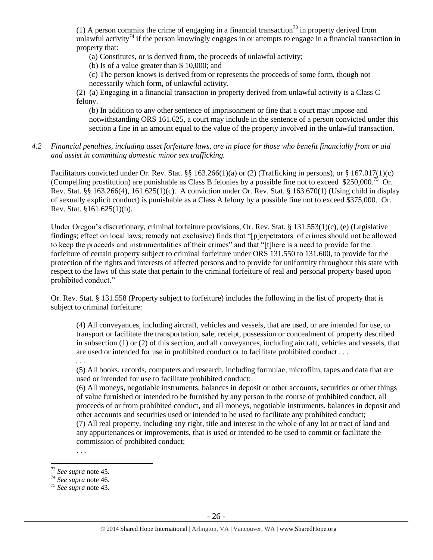(1) A person commits the crime of engaging in a financial transaction<sup>73</sup> in property derived from unlawful activity<sup>74</sup> if the person knowingly engages in or attempts to engage in a financial transaction in property that:

(a) Constitutes, or is derived from, the proceeds of unlawful activity;

(b) Is of a value greater than \$ 10,000; and

(c) The person knows is derived from or represents the proceeds of some form, though not necessarily which form, of unlawful activity.

(2) (a) Engaging in a financial transaction in property derived from unlawful activity is a Class C felony.

(b) In addition to any other sentence of imprisonment or fine that a court may impose and notwithstanding ORS 161.625, a court may include in the sentence of a person convicted under this section a fine in an amount equal to the value of the property involved in the unlawful transaction.

*4.2 Financial penalties, including asset forfeiture laws, are in place for those who benefit financially from or aid and assist in committing domestic minor sex trafficking.*

Facilitators convicted under Or. Rev. Stat. §§ 163.266(1)(a) or (2) (Trafficking in persons), or § 167.017(1)(c) (Compelling prostitution) are punishable as Class B felonies by a possible fine not to exceed \$250,000.<sup>75</sup> Or. Rev. Stat. §§ 163.266(4), 161.625(1)(c). A conviction under Or. Rev. Stat. § 163.670(1) (Using child in display of sexually explicit conduct) is punishable as a Class A felony by a possible fine not to exceed \$375,000. Or. Rev. Stat. §161.625(1)(b).

Under Oregon's discretionary, criminal forfeiture provisions, Or. Rev. Stat. § 131.553(1)(c), (e) (Legislative findings; effect on local laws; remedy not exclusive) finds that "[p]erpetrators of crimes should not be allowed to keep the proceeds and instrumentalities of their crimes" and that "[t]here is a need to provide for the forfeiture of certain property subject to criminal forfeiture under ORS 131.550 to 131.600, to provide for the protection of the rights and interests of affected persons and to provide for uniformity throughout this state with respect to the laws of this state that pertain to the criminal forfeiture of real and personal property based upon prohibited conduct."

Or. Rev. Stat. § 131.558 (Property subject to forfeiture) includes the following in the list of property that is subject to criminal forfeiture:

(4) All conveyances, including aircraft, vehicles and vessels, that are used, or are intended for use, to transport or facilitate the transportation, sale, receipt, possession or concealment of property described in subsection (1) or (2) of this section, and all conveyances, including aircraft, vehicles and vessels, that are used or intended for use in prohibited conduct or to facilitate prohibited conduct . . .

. . .

(5) All books, records, computers and research, including formulae, microfilm, tapes and data that are used or intended for use to facilitate prohibited conduct;

(6) All moneys, negotiable instruments, balances in deposit or other accounts, securities or other things of value furnished or intended to be furnished by any person in the course of prohibited conduct, all proceeds of or from prohibited conduct, and all moneys, negotiable instruments, balances in deposit and other accounts and securities used or intended to be used to facilitate any prohibited conduct; (7) All real property, including any right, title and interest in the whole of any lot or tract of land and any appurtenances or improvements, that is used or intended to be used to commit or facilitate the commission of prohibited conduct;

<sup>. . .</sup> 

<sup>73</sup> *See supra* note [45.](#page-17-1)

<sup>74</sup> *See supra* note [46.](#page-17-2)

<sup>75</sup> *See supra* note [43.](#page-17-0)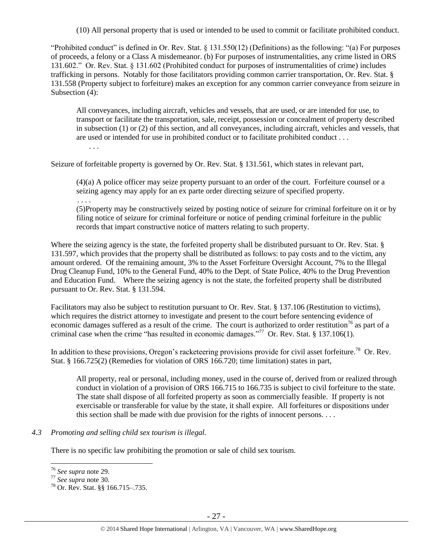(10) All personal property that is used or intended to be used to commit or facilitate prohibited conduct.

"Prohibited conduct" is defined in Or. Rev. Stat. § 131.550(12) (Definitions) as the following: "(a) For purposes of proceeds, a felony or a Class A misdemeanor. (b) For purposes of instrumentalities, any crime listed in ORS 131.602." Or. Rev. Stat. § 131.602 (Prohibited conduct for purposes of instrumentalities of crime) includes trafficking in persons. Notably for those facilitators providing common carrier transportation, Or. Rev. Stat. § 131.558 (Property subject to forfeiture) makes an exception for any common carrier conveyance from seizure in Subsection (4):

All conveyances, including aircraft, vehicles and vessels, that are used, or are intended for use, to transport or facilitate the transportation, sale, receipt, possession or concealment of property described in subsection (1) or (2) of this section, and all conveyances, including aircraft, vehicles and vessels, that are used or intended for use in prohibited conduct or to facilitate prohibited conduct . . . . . .

Seizure of forfeitable property is governed by Or. Rev. Stat. § 131.561, which states in relevant part,

(4)(a) A police officer may seize property pursuant to an order of the court. Forfeiture counsel or a seizing agency may apply for an ex parte order directing seizure of specified property. . . . .

(5)Property may be constructively seized by posting notice of seizure for criminal forfeiture on it or by filing notice of seizure for criminal forfeiture or notice of pending criminal forfeiture in the public records that impart constructive notice of matters relating to such property.

Where the seizing agency is the state, the forfeited property shall be distributed pursuant to Or. Rev. Stat. § 131.597, which provides that the property shall be distributed as follows: to pay costs and to the victim, any amount ordered. Of the remaining amount, 3% to the Asset Forfeiture Oversight Account, 7% to the Illegal Drug Cleanup Fund, 10% to the General Fund, 40% to the Dept. of State Police, 40% to the Drug Prevention and Education Fund. Where the seizing agency is not the state, the forfeited property shall be distributed pursuant to Or. Rev. Stat. § 131.594.

Facilitators may also be subject to restitution pursuant to Or. Rev. Stat. § 137.106 (Restitution to victims), which requires the district attorney to investigate and present to the court before sentencing evidence of economic damages suffered as a result of the crime. The court is authorized to order restitution<sup>76</sup> as part of a criminal case when the crime "has resulted in economic damages."<sup>77</sup> Or. Rev. Stat. § 137.106(1).

In addition to these provisions, Oregon's racketeering provisions provide for civil asset forfeiture.<sup>78</sup> Or. Rev. Stat. § 166.725(2) (Remedies for violation of ORS 166.720; time limitation) states in part,

All property, real or personal, including money, used in the course of, derived from or realized through conduct in violation of a provision of ORS 166.715 to 166.735 is subject to civil forfeiture to the state. The state shall dispose of all forfeited property as soon as commercially feasible. If property is not exercisable or transferable for value by the state, it shall expire. All forfeitures or dispositions under this section shall be made with due provision for the rights of innocent persons. . . .

#### *4.3 Promoting and selling child sex tourism is illegal.*

There is no specific law prohibiting the promotion or sale of child sex tourism.

<sup>76</sup> *See supra* note [29.](#page-13-0) 

<sup>77</sup> *See supra* note [30.](#page-13-1)

<sup>78</sup> Or. Rev. Stat. §§ 166.715–.735.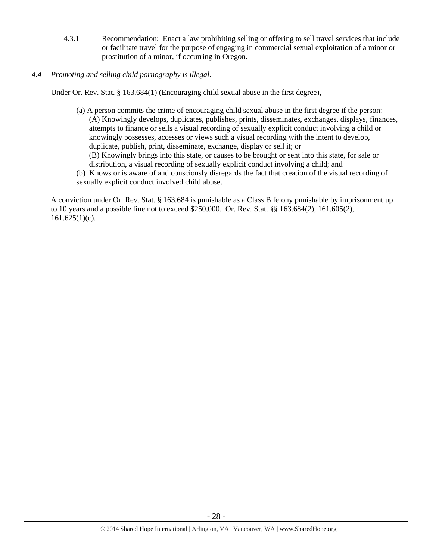- 4.3.1 Recommendation: Enact a law prohibiting selling or offering to sell travel services that include or facilitate travel for the purpose of engaging in commercial sexual exploitation of a minor or prostitution of a minor, if occurring in Oregon.
- *4.4 Promoting and selling child pornography is illegal.*

Under Or. Rev. Stat. § 163.684(1) (Encouraging child sexual abuse in the first degree),

- (a) A person commits the crime of encouraging child sexual abuse in the first degree if the person: (A) Knowingly develops, duplicates, publishes, prints, disseminates, exchanges, displays, finances, attempts to finance or sells a visual recording of sexually explicit conduct involving a child or knowingly possesses, accesses or views such a visual recording with the intent to develop, duplicate, publish, print, disseminate, exchange, display or sell it; or (B) Knowingly brings into this state, or causes to be brought or sent into this state, for sale or distribution, a visual recording of sexually explicit conduct involving a child; and
- (b) Knows or is aware of and consciously disregards the fact that creation of the visual recording of sexually explicit conduct involved child abuse.

A conviction under Or. Rev. Stat. § 163.684 is punishable as a Class B felony punishable by imprisonment up to 10 years and a possible fine not to exceed \$250,000. Or. Rev. Stat. §§ 163.684(2), 161.605(2),  $161.625(1)(c)$ .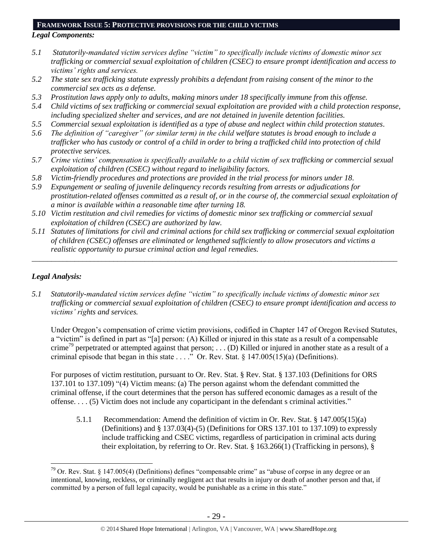#### **FRAMEWORK ISSUE 5: PROTECTIVE PROVISIONS FOR THE CHILD VICTIMS**

#### *Legal Components:*

- *5.1 Statutorily-mandated victim services define "victim" to specifically include victims of domestic minor sex trafficking or commercial sexual exploitation of children (CSEC) to ensure prompt identification and access to victims' rights and services.*
- *5.2 The state sex trafficking statute expressly prohibits a defendant from raising consent of the minor to the commercial sex acts as a defense.*
- *5.3 Prostitution laws apply only to adults, making minors under 18 specifically immune from this offense.*
- *5.4 Child victims of sex trafficking or commercial sexual exploitation are provided with a child protection response, including specialized shelter and services, and are not detained in juvenile detention facilities.*
- *5.5 Commercial sexual exploitation is identified as a type of abuse and neglect within child protection statutes.*
- *5.6 The definition of "caregiver" (or similar term) in the child welfare statutes is broad enough to include a trafficker who has custody or control of a child in order to bring a trafficked child into protection of child protective services.*
- *5.7 Crime victims' compensation is specifically available to a child victim of sex trafficking or commercial sexual exploitation of children (CSEC) without regard to ineligibility factors.*
- *5.8 Victim-friendly procedures and protections are provided in the trial process for minors under 18.*
- *5.9 Expungement or sealing of juvenile delinquency records resulting from arrests or adjudications for prostitution-related offenses committed as a result of, or in the course of, the commercial sexual exploitation of a minor is available within a reasonable time after turning 18.*
- *5.10 Victim restitution and civil remedies for victims of domestic minor sex trafficking or commercial sexual exploitation of children (CSEC) are authorized by law.*
- *5.11 Statutes of limitations for civil and criminal actions for child sex trafficking or commercial sexual exploitation of children (CSEC) offenses are eliminated or lengthened sufficiently to allow prosecutors and victims a realistic opportunity to pursue criminal action and legal remedies.*

*\_\_\_\_\_\_\_\_\_\_\_\_\_\_\_\_\_\_\_\_\_\_\_\_\_\_\_\_\_\_\_\_\_\_\_\_\_\_\_\_\_\_\_\_\_\_\_\_\_\_\_\_\_\_\_\_\_\_\_\_\_\_\_\_\_\_\_\_\_\_\_\_\_\_\_\_\_\_\_\_\_\_\_\_\_\_\_\_\_\_\_\_\_\_*

# *Legal Analysis:*

 $\overline{a}$ 

*5.1 Statutorily-mandated victim services define "victim" to specifically include victims of domestic minor sex trafficking or commercial sexual exploitation of children (CSEC) to ensure prompt identification and access to victims' rights and services.* 

Under Oregon's compensation of crime victim provisions, codified in Chapter 147 of Oregon Revised Statutes, a "victim" is defined in part as "[a] person: (A) Killed or injured in this state as a result of a compensable crime<sup>79</sup> perpetrated or attempted against that person; . . . (D) Killed or injured in another state as a result of a criminal episode that began in this state . . . ." Or. Rev. Stat. § 147.005(15)(a) (Definitions).

For purposes of victim restitution, pursuant to Or. Rev. Stat. § Rev. Stat. § 137.103 (Definitions for ORS 137.101 to 137.109) "(4) Victim means: (a) The person against whom the defendant committed the criminal offense, if the court determines that the person has suffered economic damages as a result of the offense. . . . (5) Victim does not include any coparticipant in the defendant s criminal activities."

5.1.1 Recommendation: Amend the definition of victim in Or. Rev. Stat. § 147.005(15)(a) (Definitions) and § 137.03(4)-(5) (Definitions for ORS 137.101 to 137.109) to expressly include trafficking and CSEC victims, regardless of participation in criminal acts during their exploitation, by referring to Or. Rev. Stat. § 163.266(1) (Trafficking in persons), §

 $79$  Or. Rev. Stat. § 147.005(4) (Definitions) defines "compensable crime" as "abuse of corpse in any degree or an intentional, knowing, reckless, or criminally negligent act that results in injury or death of another person and that, if committed by a person of full legal capacity, would be punishable as a crime in this state."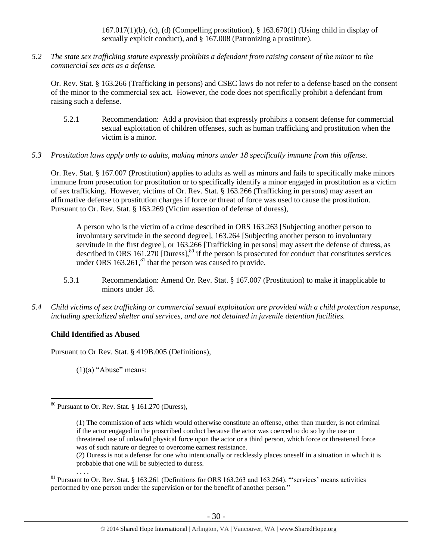$167.017(1)(b)$ , (c), (d) (Compelling prostitution), § 163.670(1) (Using child in display of sexually explicit conduct), and § 167.008 (Patronizing a prostitute).

*5.2 The state sex trafficking statute expressly prohibits a defendant from raising consent of the minor to the commercial sex acts as a defense.*

Or. Rev. Stat. § 163.266 (Trafficking in persons) and CSEC laws do not refer to a defense based on the consent of the minor to the commercial sex act. However, the code does not specifically prohibit a defendant from raising such a defense.

- 5.2.1 Recommendation: Add a provision that expressly prohibits a consent defense for commercial sexual exploitation of children offenses, such as human trafficking and prostitution when the victim is a minor.
- *5.3 Prostitution laws apply only to adults, making minors under 18 specifically immune from this offense.*

Or. Rev. Stat. § 167.007 (Prostitution) applies to adults as well as minors and fails to specifically make minors immune from prosecution for prostitution or to specifically identify a minor engaged in prostitution as a victim of sex trafficking. However, victims of Or. Rev. Stat. § 163.266 (Trafficking in persons) may assert an affirmative defense to prostitution charges if force or threat of force was used to cause the prostitution. Pursuant to Or. Rev. Stat. § 163.269 (Victim assertion of defense of duress),

A person who is the victim of a crime described in ORS 163.263 [Subjecting another person to involuntary servitude in the second degree], 163.264 [Subjecting another person to involuntary servitude in the first degree], or 163.266 [Trafficking in persons] may assert the defense of duress, as described in ORS 161.270 [Duress],<sup>80</sup> if the person is prosecuted for conduct that constitutes services under ORS  $163.261$ ,<sup>81</sup> that the person was caused to provide.

- 5.3.1 Recommendation: Amend Or. Rev. Stat. § 167.007 (Prostitution) to make it inapplicable to minors under 18.
- *5.4 Child victims of sex trafficking or commercial sexual exploitation are provided with a child protection response, including specialized shelter and services, and are not detained in juvenile detention facilities.*

# **Child Identified as Abused**

. . . .

 $\overline{a}$ 

Pursuant to Or Rev. Stat. § 419B.005 (Definitions),

 $(1)(a)$  "Abuse" means:

<sup>80</sup> Pursuant to Or. Rev. Stat. § 161.270 (Duress),

<sup>(1)</sup> The commission of acts which would otherwise constitute an offense, other than murder, is not criminal if the actor engaged in the proscribed conduct because the actor was coerced to do so by the use or threatened use of unlawful physical force upon the actor or a third person, which force or threatened force was of such nature or degree to overcome earnest resistance.

<sup>(2)</sup> Duress is not a defense for one who intentionally or recklessly places oneself in a situation in which it is probable that one will be subjected to duress.

 $81$  Pursuant to Or. Rev. Stat.  $\S$  163.261 (Definitions for ORS 163.263 and 163.264), "services' means activities performed by one person under the supervision or for the benefit of another person."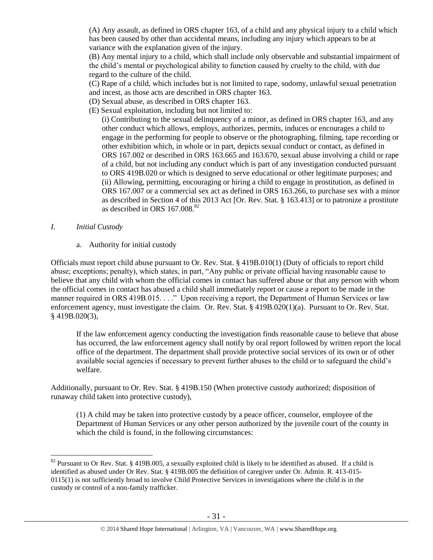(A) Any assault, as defined in ORS chapter 163, of a child and any physical injury to a child which has been caused by other than accidental means, including any injury which appears to be at variance with the explanation given of the injury.

(B) Any mental injury to a child, which shall include only observable and substantial impairment of the child's mental or psychological ability to function caused by cruelty to the child, with due regard to the culture of the child.

(C) Rape of a child, which includes but is not limited to rape, sodomy, unlawful sexual penetration

- and incest, as those acts are described in ORS chapter 163. (D) Sexual abuse, as described in ORS chapter 163.
- (E) Sexual exploitation, including but not limited to:

(i) Contributing to the sexual delinquency of a minor, as defined in ORS chapter 163, and any other conduct which allows, employs, authorizes, permits, induces or encourages a child to engage in the performing for people to observe or the photographing, filming, tape recording or other exhibition which, in whole or in part, depicts sexual conduct or contact, as defined in ORS 167.002 or described in ORS 163.665 and 163.670, sexual abuse involving a child or rape of a child, but not including any conduct which is part of any investigation conducted pursuant to ORS 419B.020 or which is designed to serve educational or other legitimate purposes; and (ii) Allowing, permitting, encouraging or hiring a child to engage in prostitution, as defined in ORS 167.007 or a commercial sex act as defined in ORS 163.266, to purchase sex with a minor as described in Section 4 of this 2013 Act [Or. Rev. Stat. § 163.413] or to patronize a prostitute as described in ORS 167.008.<sup>82</sup>

## *I. Initial Custody*

a. Authority for initial custody

Officials must report child abuse pursuant to Or. Rev. Stat. § 419B.010(1) (Duty of officials to report child abuse; exceptions; penalty), which states, in part, "Any public or private official having reasonable cause to believe that any child with whom the official comes in contact has suffered abuse or that any person with whom the official comes in contact has abused a child shall immediately report or cause a report to be made in the manner required in ORS 419B.015. . . ." Upon receiving a report, the Department of Human Services or law enforcement agency, must investigate the claim. Or. Rev. Stat. § 419B.020(1)(a). Pursuant to Or. Rev. Stat. § 419B.020(3),

If the law enforcement agency conducting the investigation finds reasonable cause to believe that abuse has occurred, the law enforcement agency shall notify by oral report followed by written report the local office of the department. The department shall provide protective social services of its own or of other available social agencies if necessary to prevent further abuses to the child or to safeguard the child's welfare.

Additionally, pursuant to Or. Rev. Stat. § 419B.150 (When protective custody authorized; disposition of runaway child taken into protective custody),

(1) A child may be taken into protective custody by a peace officer, counselor, employee of the Department of Human Services or any other person authorized by the juvenile court of the county in which the child is found, in the following circumstances:

 $\overline{a}$  $82$  Pursuant to Or Rev. Stat. § 419B.005, a sexually exploited child is likely to be identified as abused. If a child is identified as abused under Or Rev. Stat. § 419B.005 the definition of caregiver under Or. Admin. R. 413-015- 0115(1) is not sufficiently broad to involve Child Protective Services in investigations where the child is in the custody or control of a non-family trafficker.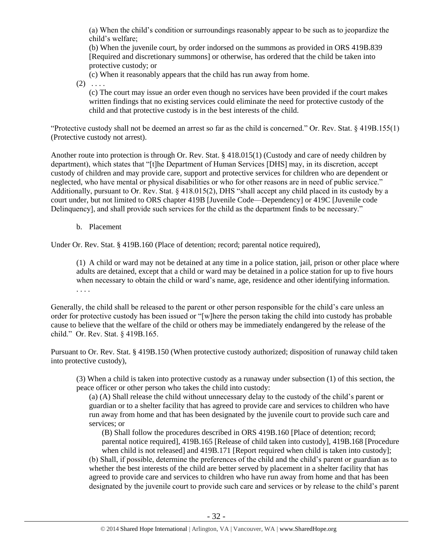(a) When the child's condition or surroundings reasonably appear to be such as to jeopardize the child's welfare;

(b) When the juvenile court, by order indorsed on the summons as provided in ORS 419B.839 [Required and discretionary summons] or otherwise, has ordered that the child be taken into protective custody; or

(c) When it reasonably appears that the child has run away from home.

 $(2) \ldots$ 

(c) The court may issue an order even though no services have been provided if the court makes written findings that no existing services could eliminate the need for protective custody of the child and that protective custody is in the best interests of the child.

"Protective custody shall not be deemed an arrest so far as the child is concerned." Or. Rev. Stat. § 419B.155(1) (Protective custody not arrest).

Another route into protection is through Or. Rev. Stat. § 418.015(1) (Custody and care of needy children by department), which states that "[t]he Department of Human Services [DHS] may, in its discretion, accept custody of children and may provide care, support and protective services for children who are dependent or neglected, who have mental or physical disabilities or who for other reasons are in need of public service." Additionally, pursuant to Or. Rev. Stat. § 418.015(2), DHS "shall accept any child placed in its custody by a court under, but not limited to ORS chapter 419B [Juvenile Code—Dependency] or 419C [Juvenile code Delinquency], and shall provide such services for the child as the department finds to be necessary."

b. Placement

Under Or. Rev. Stat. § 419B.160 (Place of detention; record; parental notice required),

(1) A child or ward may not be detained at any time in a police station, jail, prison or other place where adults are detained, except that a child or ward may be detained in a police station for up to five hours when necessary to obtain the child or ward's name, age, residence and other identifying information. . . . .

Generally, the child shall be released to the parent or other person responsible for the child's care unless an order for protective custody has been issued or "[w]here the person taking the child into custody has probable cause to believe that the welfare of the child or others may be immediately endangered by the release of the child." Or. Rev. Stat. § 419B.165.

Pursuant to Or. Rev. Stat. § 419B.150 (When protective custody authorized; disposition of runaway child taken into protective custody),

(3) When a child is taken into protective custody as a runaway under subsection (1) of this section, the peace officer or other person who takes the child into custody:

(a) (A) Shall release the child without unnecessary delay to the custody of the child's parent or guardian or to a shelter facility that has agreed to provide care and services to children who have run away from home and that has been designated by the juvenile court to provide such care and services; or

(B) Shall follow the procedures described in ORS 419B.160 [Place of detention; record; parental notice required], 419B.165 [Release of child taken into custody], 419B.168 [Procedure when child is not released] and 419B.171 [Report required when child is taken into custody];

(b) Shall, if possible, determine the preferences of the child and the child's parent or guardian as to whether the best interests of the child are better served by placement in a shelter facility that has agreed to provide care and services to children who have run away from home and that has been designated by the juvenile court to provide such care and services or by release to the child's parent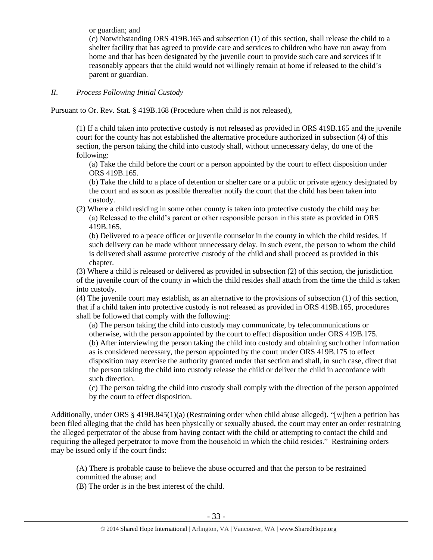or guardian; and

(c) Notwithstanding ORS 419B.165 and subsection (1) of this section, shall release the child to a shelter facility that has agreed to provide care and services to children who have run away from home and that has been designated by the juvenile court to provide such care and services if it reasonably appears that the child would not willingly remain at home if released to the child's parent or guardian.

*II. Process Following Initial Custody*

Pursuant to Or. Rev. Stat. § 419B.168 (Procedure when child is not released),

(1) If a child taken into protective custody is not released as provided in ORS 419B.165 and the juvenile court for the county has not established the alternative procedure authorized in subsection (4) of this section, the person taking the child into custody shall, without unnecessary delay, do one of the following:

(a) Take the child before the court or a person appointed by the court to effect disposition under ORS 419B.165.

(b) Take the child to a place of detention or shelter care or a public or private agency designated by the court and as soon as possible thereafter notify the court that the child has been taken into custody.

(2) Where a child residing in some other county is taken into protective custody the child may be: (a) Released to the child's parent or other responsible person in this state as provided in ORS 419B.165.

(b) Delivered to a peace officer or juvenile counselor in the county in which the child resides, if such delivery can be made without unnecessary delay. In such event, the person to whom the child is delivered shall assume protective custody of the child and shall proceed as provided in this chapter.

(3) Where a child is released or delivered as provided in subsection (2) of this section, the jurisdiction of the juvenile court of the county in which the child resides shall attach from the time the child is taken into custody.

(4) The juvenile court may establish, as an alternative to the provisions of subsection (1) of this section, that if a child taken into protective custody is not released as provided in ORS 419B.165, procedures shall be followed that comply with the following:

(a) The person taking the child into custody may communicate, by telecommunications or otherwise, with the person appointed by the court to effect disposition under ORS 419B.175. (b) After interviewing the person taking the child into custody and obtaining such other information as is considered necessary, the person appointed by the court under ORS 419B.175 to effect disposition may exercise the authority granted under that section and shall, in such case, direct that the person taking the child into custody release the child or deliver the child in accordance with such direction.

(c) The person taking the child into custody shall comply with the direction of the person appointed by the court to effect disposition.

Additionally, under ORS § 419B.845(1)(a) (Restraining order when child abuse alleged), "[w]hen a petition has been filed alleging that the child has been physically or sexually abused, the court may enter an order restraining the alleged perpetrator of the abuse from having contact with the child or attempting to contact the child and requiring the alleged perpetrator to move from the household in which the child resides." Restraining orders may be issued only if the court finds:

(A) There is probable cause to believe the abuse occurred and that the person to be restrained committed the abuse; and

(B) The order is in the best interest of the child.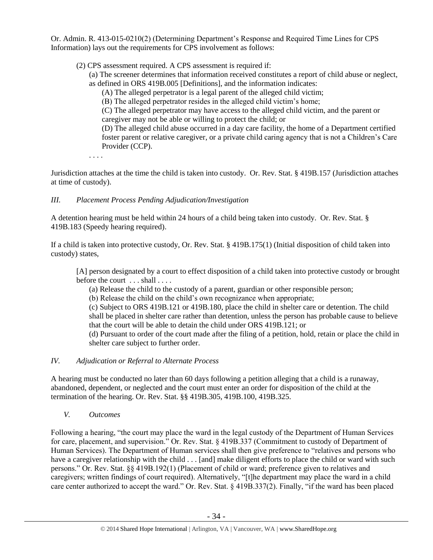Or. Admin. R. 413-015-0210(2) (Determining Department's Response and Required Time Lines for CPS Information) lays out the requirements for CPS involvement as follows:

(2) CPS assessment required. A CPS assessment is required if:

(a) The screener determines that information received constitutes a report of child abuse or neglect, as defined in ORS 419B.005 [Definitions], and the information indicates:

- (A) The alleged perpetrator is a legal parent of the alleged child victim;
- (B) The alleged perpetrator resides in the alleged child victim's home;

(C) The alleged perpetrator may have access to the alleged child victim, and the parent or caregiver may not be able or willing to protect the child; or

(D) The alleged child abuse occurred in a day care facility, the home of a Department certified foster parent or relative caregiver, or a private child caring agency that is not a Children's Care Provider (CCP).

. . . .

Jurisdiction attaches at the time the child is taken into custody. Or. Rev. Stat. § 419B.157 (Jurisdiction attaches at time of custody).

# *III. Placement Process Pending Adjudication/Investigation*

A detention hearing must be held within 24 hours of a child being taken into custody. Or. Rev. Stat. § 419B.183 (Speedy hearing required).

If a child is taken into protective custody, Or. Rev. Stat. § 419B.175(1) (Initial disposition of child taken into custody) states,

[A] person designated by a court to effect disposition of a child taken into protective custody or brought before the court ... shall ....

(a) Release the child to the custody of a parent, guardian or other responsible person;

(b) Release the child on the child's own recognizance when appropriate;

(c) Subject to ORS 419B.121 or 419B.180, place the child in shelter care or detention. The child shall be placed in shelter care rather than detention, unless the person has probable cause to believe that the court will be able to detain the child under ORS 419B.121; or

(d) Pursuant to order of the court made after the filing of a petition, hold, retain or place the child in shelter care subject to further order.

# *IV. Adjudication or Referral to Alternate Process*

A hearing must be conducted no later than 60 days following a petition alleging that a child is a runaway, abandoned, dependent, or neglected and the court must enter an order for disposition of the child at the termination of the hearing. Or. Rev. Stat. §§ 419B.305, 419B.100, 419B.325.

*V. Outcomes*

Following a hearing, "the court may place the ward in the legal custody of the Department of Human Services for care, placement, and supervision." Or. Rev. Stat. § 419B.337 (Commitment to custody of Department of Human Services). The Department of Human services shall then give preference to "relatives and persons who have a caregiver relationship with the child . . . [and] make diligent efforts to place the child or ward with such persons." Or. Rev. Stat. §§ 419B.192(1) (Placement of child or ward; preference given to relatives and caregivers; written findings of court required). Alternatively, "[t]he department may place the ward in a child care center authorized to accept the ward." Or. Rev. Stat. § 419B.337(2). Finally, "if the ward has been placed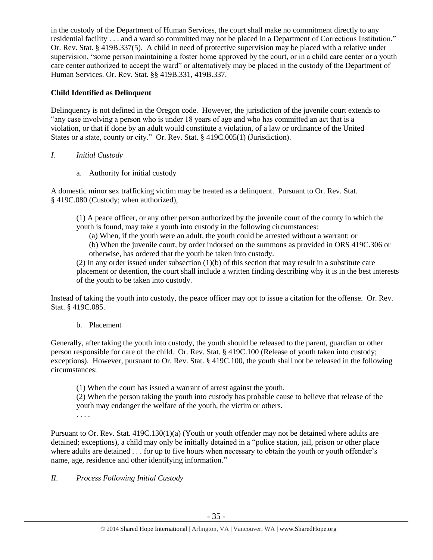in the custody of the Department of Human Services, the court shall make no commitment directly to any residential facility . . . and a ward so committed may not be placed in a Department of Corrections Institution." Or. Rev. Stat. § 419B.337(5). A child in need of protective supervision may be placed with a relative under supervision, "some person maintaining a foster home approved by the court, or in a child care center or a youth care center authorized to accept the ward" or alternatively may be placed in the custody of the Department of Human Services. Or. Rev. Stat. §§ 419B.331, 419B.337.

# **Child Identified as Delinquent**

Delinquency is not defined in the Oregon code. However, the jurisdiction of the juvenile court extends to "any case involving a person who is under 18 years of age and who has committed an act that is a violation, or that if done by an adult would constitute a violation, of a law or ordinance of the United States or a state, county or city." Or. Rev. Stat. § 419C.005(1) (Jurisdiction).

# *I. Initial Custody*

a. Authority for initial custody

A domestic minor sex trafficking victim may be treated as a delinquent. Pursuant to Or. Rev. Stat. § 419C.080 (Custody; when authorized),

(1) A peace officer, or any other person authorized by the juvenile court of the county in which the youth is found, may take a youth into custody in the following circumstances:

(a) When, if the youth were an adult, the youth could be arrested without a warrant; or

(b) When the juvenile court, by order indorsed on the summons as provided in ORS 419C.306 or otherwise, has ordered that the youth be taken into custody.

(2) In any order issued under subsection (1)(b) of this section that may result in a substitute care placement or detention, the court shall include a written finding describing why it is in the best interests of the youth to be taken into custody.

Instead of taking the youth into custody, the peace officer may opt to issue a citation for the offense. Or. Rev. Stat. § 419C.085.

# b. Placement

Generally, after taking the youth into custody, the youth should be released to the parent, guardian or other person responsible for care of the child. Or. Rev. Stat. § 419C.100 (Release of youth taken into custody; exceptions). However, pursuant to Or. Rev. Stat. § 419C.100, the youth shall not be released in the following circumstances:

(1) When the court has issued a warrant of arrest against the youth.

(2) When the person taking the youth into custody has probable cause to believe that release of the youth may endanger the welfare of the youth, the victim or others.

. . . .

Pursuant to Or. Rev. Stat. 419C.130(1)(a) (Youth or youth offender may not be detained where adults are detained; exceptions), a child may only be initially detained in a "police station, jail, prison or other place where adults are detained . . . for up to five hours when necessary to obtain the youth or youth offender's name, age, residence and other identifying information."

*II. Process Following Initial Custody*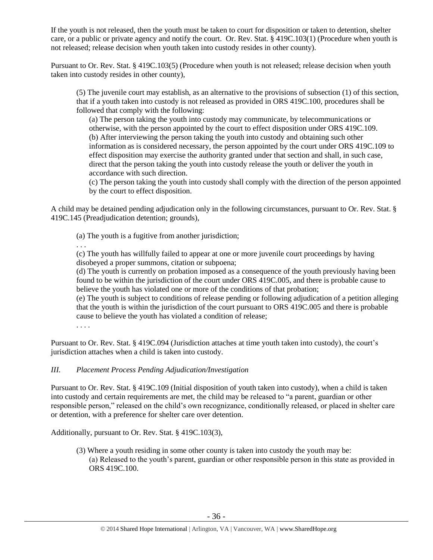If the youth is not released, then the youth must be taken to court for disposition or taken to detention, shelter care, or a public or private agency and notify the court. Or. Rev. Stat. § 419C.103(1) (Procedure when youth is not released; release decision when youth taken into custody resides in other county).

Pursuant to Or. Rev. Stat. § 419C.103(5) (Procedure when youth is not released; release decision when youth taken into custody resides in other county),

(5) The juvenile court may establish, as an alternative to the provisions of subsection (1) of this section, that if a youth taken into custody is not released as provided in ORS 419C.100, procedures shall be followed that comply with the following:

(a) The person taking the youth into custody may communicate, by telecommunications or otherwise, with the person appointed by the court to effect disposition under ORS 419C.109. (b) After interviewing the person taking the youth into custody and obtaining such other information as is considered necessary, the person appointed by the court under ORS 419C.109 to effect disposition may exercise the authority granted under that section and shall, in such case, direct that the person taking the youth into custody release the youth or deliver the youth in accordance with such direction.

(c) The person taking the youth into custody shall comply with the direction of the person appointed by the court to effect disposition.

A child may be detained pending adjudication only in the following circumstances, pursuant to Or. Rev. Stat. § 419C.145 (Preadjudication detention; grounds),

(a) The youth is a fugitive from another jurisdiction;

. . .

(c) The youth has willfully failed to appear at one or more juvenile court proceedings by having disobeyed a proper summons, citation or subpoena;

(d) The youth is currently on probation imposed as a consequence of the youth previously having been found to be within the jurisdiction of the court under ORS 419C.005, and there is probable cause to believe the youth has violated one or more of the conditions of that probation;

(e) The youth is subject to conditions of release pending or following adjudication of a petition alleging that the youth is within the jurisdiction of the court pursuant to ORS 419C.005 and there is probable cause to believe the youth has violated a condition of release;

. . . .

Pursuant to Or. Rev. Stat. § 419C.094 (Jurisdiction attaches at time youth taken into custody), the court's jurisdiction attaches when a child is taken into custody.

# *III. Placement Process Pending Adjudication/Investigation*

Pursuant to Or. Rev. Stat. § 419C.109 (Initial disposition of youth taken into custody), when a child is taken into custody and certain requirements are met, the child may be released to "a parent, guardian or other responsible person," released on the child's own recognizance, conditionally released, or placed in shelter care or detention, with a preference for shelter care over detention.

Additionally, pursuant to Or. Rev. Stat. § 419C.103(3),

(3) Where a youth residing in some other county is taken into custody the youth may be: (a) Released to the youth's parent, guardian or other responsible person in this state as provided in ORS 419C.100.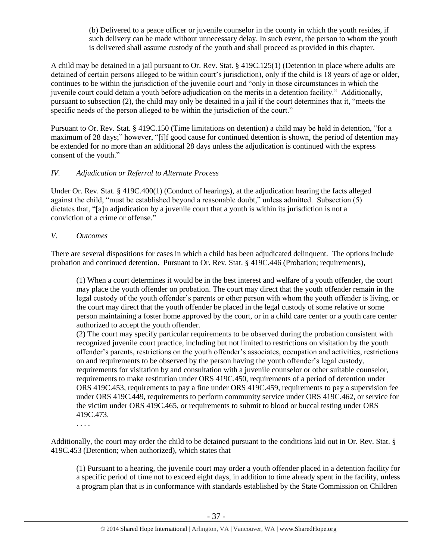(b) Delivered to a peace officer or juvenile counselor in the county in which the youth resides, if such delivery can be made without unnecessary delay. In such event, the person to whom the youth is delivered shall assume custody of the youth and shall proceed as provided in this chapter.

A child may be detained in a jail pursuant to Or. Rev. Stat. § 419C.125(1) (Detention in place where adults are detained of certain persons alleged to be within court's jurisdiction), only if the child is 18 years of age or older, continues to be within the jurisdiction of the juvenile court and "only in those circumstances in which the juvenile court could detain a youth before adjudication on the merits in a detention facility." Additionally, pursuant to subsection (2), the child may only be detained in a jail if the court determines that it, "meets the specific needs of the person alleged to be within the jurisdiction of the court."

Pursuant to Or. Rev. Stat. § 419C.150 (Time limitations on detention) a child may be held in detention, "for a maximum of 28 days;" however, "[i]f good cause for continued detention is shown, the period of detention may be extended for no more than an additional 28 days unless the adjudication is continued with the express consent of the youth."

# *IV. Adjudication or Referral to Alternate Process*

Under Or. Rev. Stat. § 419C.400(1) (Conduct of hearings), at the adjudication hearing the facts alleged against the child, "must be established beyond a reasonable doubt," unless admitted. Subsection (5) dictates that, "[a]n adjudication by a juvenile court that a youth is within its jurisdiction is not a conviction of a crime or offense."

#### *V. Outcomes*

There are several dispositions for cases in which a child has been adjudicated delinquent. The options include probation and continued detention. Pursuant to Or. Rev. Stat. § 419C.446 (Probation; requirements),

(1) When a court determines it would be in the best interest and welfare of a youth offender, the court may place the youth offender on probation. The court may direct that the youth offender remain in the legal custody of the youth offender's parents or other person with whom the youth offender is living, or the court may direct that the youth offender be placed in the legal custody of some relative or some person maintaining a foster home approved by the court, or in a child care center or a youth care center authorized to accept the youth offender.

(2) The court may specify particular requirements to be observed during the probation consistent with recognized juvenile court practice, including but not limited to restrictions on visitation by the youth offender's parents, restrictions on the youth offender's associates, occupation and activities, restrictions on and requirements to be observed by the person having the youth offender's legal custody, requirements for visitation by and consultation with a juvenile counselor or other suitable counselor, requirements to make restitution under ORS 419C.450, requirements of a period of detention under ORS 419C.453, requirements to pay a fine under ORS 419C.459, requirements to pay a supervision fee under ORS 419C.449, requirements to perform community service under ORS 419C.462, or service for the victim under ORS 419C.465, or requirements to submit to blood or buccal testing under ORS 419C.473.

. . . .

Additionally, the court may order the child to be detained pursuant to the conditions laid out in Or. Rev. Stat. § 419C.453 (Detention; when authorized), which states that

(1) Pursuant to a hearing, the juvenile court may order a youth offender placed in a detention facility for a specific period of time not to exceed eight days, in addition to time already spent in the facility, unless a program plan that is in conformance with standards established by the State Commission on Children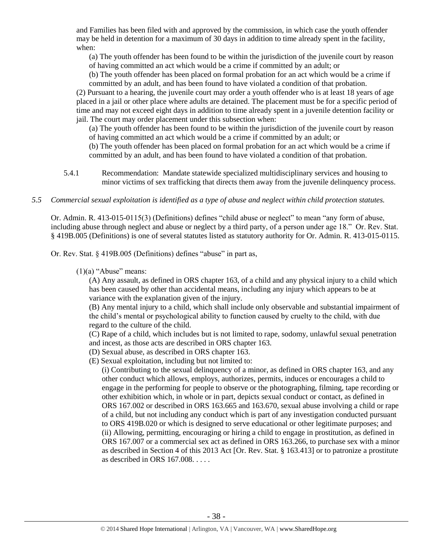and Families has been filed with and approved by the commission, in which case the youth offender may be held in detention for a maximum of 30 days in addition to time already spent in the facility, when:

(a) The youth offender has been found to be within the jurisdiction of the juvenile court by reason of having committed an act which would be a crime if committed by an adult; or

(b) The youth offender has been placed on formal probation for an act which would be a crime if committed by an adult, and has been found to have violated a condition of that probation.

(2) Pursuant to a hearing, the juvenile court may order a youth offender who is at least 18 years of age placed in a jail or other place where adults are detained. The placement must be for a specific period of time and may not exceed eight days in addition to time already spent in a juvenile detention facility or jail. The court may order placement under this subsection when:

(a) The youth offender has been found to be within the jurisdiction of the juvenile court by reason of having committed an act which would be a crime if committed by an adult; or

(b) The youth offender has been placed on formal probation for an act which would be a crime if committed by an adult, and has been found to have violated a condition of that probation.

5.4.1 Recommendation: Mandate statewide specialized multidisciplinary services and housing to minor victims of sex trafficking that directs them away from the juvenile delinquency process.

## *5.5 Commercial sexual exploitation is identified as a type of abuse and neglect within child protection statutes.*

Or. Admin. R. 413-015-0115(3) (Definitions) defines "child abuse or neglect" to mean "any form of abuse, including abuse through neglect and abuse or neglect by a third party, of a person under age 18." Or. Rev. Stat. § 419B.005 (Definitions) is one of several statutes listed as statutory authority for Or. Admin. R. 413-015-0115.

Or. Rev. Stat. § 419B.005 (Definitions) defines "abuse" in part as,

## $(1)(a)$  "Abuse" means:

(A) Any assault, as defined in ORS chapter 163, of a child and any physical injury to a child which has been caused by other than accidental means, including any injury which appears to be at variance with the explanation given of the injury.

(B) Any mental injury to a child, which shall include only observable and substantial impairment of the child's mental or psychological ability to function caused by cruelty to the child, with due regard to the culture of the child.

(C) Rape of a child, which includes but is not limited to rape, sodomy, unlawful sexual penetration and incest, as those acts are described in ORS chapter 163.

- (D) Sexual abuse, as described in ORS chapter 163.
- (E) Sexual exploitation, including but not limited to:

(i) Contributing to the sexual delinquency of a minor, as defined in ORS chapter 163, and any other conduct which allows, employs, authorizes, permits, induces or encourages a child to engage in the performing for people to observe or the photographing, filming, tape recording or other exhibition which, in whole or in part, depicts sexual conduct or contact, as defined in ORS 167.002 or described in ORS 163.665 and 163.670, sexual abuse involving a child or rape of a child, but not including any conduct which is part of any investigation conducted pursuant to ORS 419B.020 or which is designed to serve educational or other legitimate purposes; and (ii) Allowing, permitting, encouraging or hiring a child to engage in prostitution, as defined in ORS 167.007 or a commercial sex act as defined in ORS 163.266, to purchase sex with a minor as described in Section 4 of this 2013 Act [Or. Rev. Stat. § 163.413] or to patronize a prostitute as described in ORS 167.008. . . . .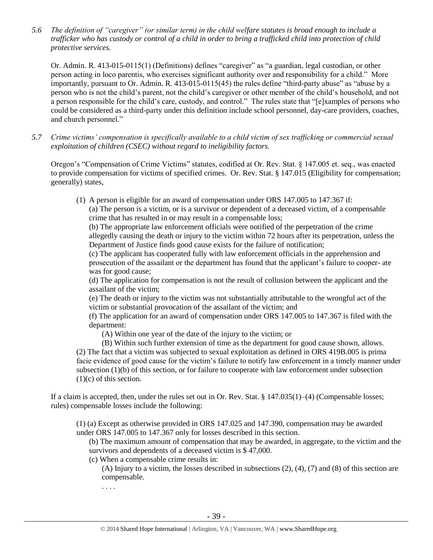*5.6 The definition of "caregiver" (or similar term) in the child welfare statutes is broad enough to include a trafficker who has custody or control of a child in order to bring a trafficked child into protection of child protective services.*

Or. Admin. R. 413-015-0115(1) (Definitions) defines "caregiver" as "a guardian, legal custodian, or other person acting in loco parentis, who exercises significant authority over and responsibility for a child." More importantly, pursuant to Or. Admin. R. 413-015-0115(45) the rules define "third-party abuse" as "abuse by a person who is not the child's parent, not the child's caregiver or other member of the child's household, and not a person responsible for the child's care, custody, and control." The rules state that "[e]xamples of persons who could be considered as a third-party under this definition include school personnel, day-care providers, coaches, and church personnel."

*5.7 Crime victims' compensation is specifically available to a child victim of sex trafficking or commercial sexual exploitation of children (CSEC) without regard to ineligibility factors.*

Oregon's "Compensation of Crime Victims" statutes, codified at Or. Rev. Stat. § 147.005 et. seq., was enacted to provide compensation for victims of specified crimes. Or. Rev. Stat. § 147.015 (Eligibility for compensation; generally) states,

(1) A person is eligible for an award of compensation under ORS 147.005 to 147.367 if: (a) The person is a victim, or is a survivor or dependent of a deceased victim, of a compensable crime that has resulted in or may result in a compensable loss;

(b) The appropriate law enforcement officials were notified of the perpetration of the crime allegedly causing the death or injury to the victim within 72 hours after its perpetration, unless the Department of Justice finds good cause exists for the failure of notification;

(c) The applicant has cooperated fully with law enforcement officials in the apprehension and prosecution of the assailant or the department has found that the applicant's failure to cooper- ate was for good cause;

(d) The application for compensation is not the result of collusion between the applicant and the assailant of the victim;

(e) The death or injury to the victim was not substantially attributable to the wrongful act of the victim or substantial provocation of the assailant of the victim; and

(f) The application for an award of compensation under ORS 147.005 to 147.367 is filed with the department:

(A) Within one year of the date of the injury to the victim; or

(B) Within such further extension of time as the department for good cause shown, allows. (2) The fact that a victim was subjected to sexual exploitation as defined in ORS 419B.005 is prima facie evidence of good cause for the victim's failure to notify law enforcement in a timely manner under subsection (1)(b) of this section, or for failure to cooperate with law enforcement under subsection (1)(c) of this section.

If a claim is accepted, then, under the rules set out in Or. Rev. Stat. § 147.035(1)–(4) (Compensable losses; rules) compensable losses include the following:

(1) (a) Except as otherwise provided in ORS 147.025 and 147.390, compensation may be awarded under ORS 147.005 to 147.367 only for losses described in this section.

(b) The maximum amount of compensation that may be awarded, in aggregate, to the victim and the survivors and dependents of a deceased victim is \$ 47,000.

(c) When a compensable crime results in:

(A) Injury to a victim, the losses described in subsections (2), (4), (7) and (8) of this section are compensable.

. . . .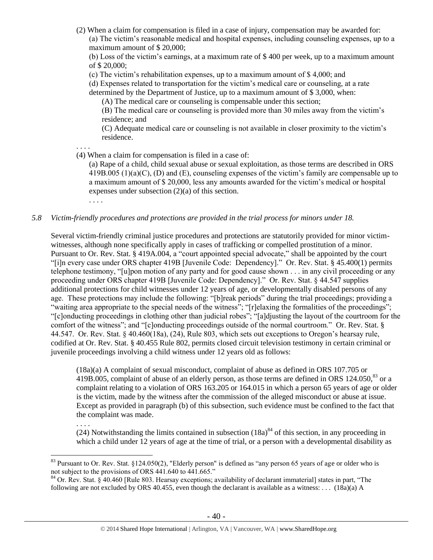(2) When a claim for compensation is filed in a case of injury, compensation may be awarded for: (a) The victim's reasonable medical and hospital expenses, including counseling expenses, up to a maximum amount of \$ 20,000; (b) Loss of the victim's earnings, at a maximum rate of \$ 400 per week, up to a maximum amount of \$ 20,000; (c) The victim's rehabilitation expenses, up to a maximum amount of \$ 4,000; and (d) Expenses related to transportation for the victim's medical care or counseling, at a rate determined by the Department of Justice, up to a maximum amount of \$ 3,000, when: (A) The medical care or counseling is compensable under this section;

(B) The medical care or counseling is provided more than 30 miles away from the victim's residence; and

(C) Adequate medical care or counseling is not available in closer proximity to the victim's residence.

. . . . (4) When a claim for compensation is filed in a case of:

(a) Rape of a child, child sexual abuse or sexual exploitation, as those terms are described in ORS 419B.005 (1)(a)(C), (D) and (E), counseling expenses of the victim's family are compensable up to a maximum amount of \$ 20,000, less any amounts awarded for the victim's medical or hospital expenses under subsection (2)(a) of this section.

. . . .

. . . .

 $\overline{a}$ 

## *5.8 Victim-friendly procedures and protections are provided in the trial process for minors under 18.*

Several victim-friendly criminal justice procedures and protections are statutorily provided for minor victimwitnesses, although none specifically apply in cases of trafficking or compelled prostitution of a minor. Pursuant to Or. Rev. Stat. § 419A.004, a "court appointed special advocate," shall be appointed by the court "[i]n every case under ORS chapter 419B [Juvenile Code: Dependency]." Or. Rev. Stat. § 45.400(1) permits telephone testimony, "[u]pon motion of any party and for good cause shown . . . in any civil proceeding or any proceeding under ORS chapter 419B [Juvenile Code: Dependency]." Or. Rev. Stat. § 44.547 supplies additional protections for child witnesses under 12 years of age, or developmentally disabled persons of any age. These protections may include the following: "[b]reak periods" during the trial proceedings; providing a "waiting area appropriate to the special needs of the witness"; "[r]elaxing the formalities of the proceedings"; "[c]onducting proceedings in clothing other than judicial robes"; "[a]djusting the layout of the courtroom for the comfort of the witness"; and "[c]onducting proceedings outside of the normal courtroom." Or. Rev. Stat. § 44.547. Or. Rev. Stat. § 40.460(18a), (24), Rule 803, which sets out exceptions to Oregon's hearsay rule, codified at Or. Rev. Stat. § 40.455 Rule 802, permits closed circuit television testimony in certain criminal or juvenile proceedings involving a child witness under 12 years old as follows:

(18a)(a) A complaint of sexual misconduct, complaint of abuse as defined in ORS 107.705 or 419B.005, complaint of abuse of an elderly person, as those terms are defined in ORS  $124.050$ ,  $83$  or a complaint relating to a violation of ORS 163.205 or 164.015 in which a person 65 years of age or older is the victim, made by the witness after the commission of the alleged misconduct or abuse at issue. Except as provided in paragraph (b) of this subsection, such evidence must be confined to the fact that the complaint was made.

(24) Notwithstanding the limits contained in subsection  $(18a)^{84}$  of this section, in any proceeding in which a child under 12 years of age at the time of trial, or a person with a developmental disability as

<sup>&</sup>lt;sup>83</sup> Pursuant to Or. Rev. Stat. §124.050(2), "Elderly person" is defined as "any person 65 years of age or older who is not subject to the provisions of ORS 441.640 to 441.665."

 $84$  Or. Rev. Stat.  $\hat{\zeta}$  40.460 [Rule 803. Hearsay exceptions; availability of declarant immaterial] states in part, "The following are not excluded by ORS 40.455, even though the declarant is available as a witness: . . .  $(18a)(a)$  A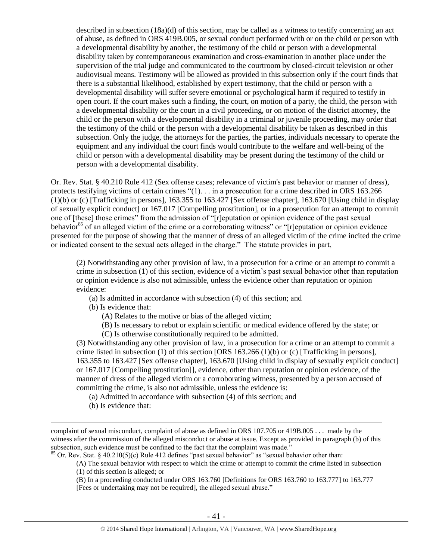described in subsection (18a)(d) of this section, may be called as a witness to testify concerning an act of abuse, as defined in ORS 419B.005, or sexual conduct performed with or on the child or person with a developmental disability by another, the testimony of the child or person with a developmental disability taken by contemporaneous examination and cross-examination in another place under the supervision of the trial judge and communicated to the courtroom by closed-circuit television or other audiovisual means. Testimony will be allowed as provided in this subsection only if the court finds that there is a substantial likelihood, established by expert testimony, that the child or person with a developmental disability will suffer severe emotional or psychological harm if required to testify in open court. If the court makes such a finding, the court, on motion of a party, the child, the person with a developmental disability or the court in a civil proceeding, or on motion of the district attorney, the child or the person with a developmental disability in a criminal or juvenile proceeding, may order that the testimony of the child or the person with a developmental disability be taken as described in this subsection. Only the judge, the attorneys for the parties, the parties, individuals necessary to operate the equipment and any individual the court finds would contribute to the welfare and well-being of the child or person with a developmental disability may be present during the testimony of the child or person with a developmental disability.

Or. Rev. Stat. § 40.210 Rule 412 (Sex offense cases; relevance of victim's past behavior or manner of dress), protects testifying victims of certain crimes "(1). . . in a prosecution for a crime described in ORS 163.266 (1)(b) or (c) [Trafficking in persons], 163.355 to 163.427 [Sex offense chapter], 163.670 [Using child in display of sexually explicit conduct] or 167.017 [Compelling prostitution], or in a prosecution for an attempt to commit one of [these] those crimes" from the admission of "[r]eputation or opinion evidence of the past sexual behavior<sup>85</sup> of an alleged victim of the crime or a corroborating witness" or "[r]eputation or opinion evidence presented for the purpose of showing that the manner of dress of an alleged victim of the crime incited the crime or indicated consent to the sexual acts alleged in the charge." The statute provides in part,

(2) Notwithstanding any other provision of law, in a prosecution for a crime or an attempt to commit a crime in subsection (1) of this section, evidence of a victim's past sexual behavior other than reputation or opinion evidence is also not admissible, unless the evidence other than reputation or opinion evidence:

- (a) Is admitted in accordance with subsection (4) of this section; and
- (b) Is evidence that:
	- (A) Relates to the motive or bias of the alleged victim;
	- (B) Is necessary to rebut or explain scientific or medical evidence offered by the state; or
	- (C) Is otherwise constitutionally required to be admitted.

(3) Notwithstanding any other provision of law, in a prosecution for a crime or an attempt to commit a crime listed in subsection (1) of this section [ORS 163.266 (1)(b) or (c) [Trafficking in persons], 163.355 to 163.427 [Sex offense chapter], 163.670 [Using child in display of sexually explicit conduct] or 167.017 [Compelling prostitution]], evidence, other than reputation or opinion evidence, of the manner of dress of the alleged victim or a corroborating witness, presented by a person accused of committing the crime, is also not admissible, unless the evidence is:

- (a) Admitted in accordance with subsection (4) of this section; and
- (b) Is evidence that:

- (B) In a proceeding conducted under ORS 163.760 [Definitions for ORS 163.760 to 163.777] to 163.777
- [Fees or undertaking may not be required], the alleged sexual abuse."

complaint of sexual misconduct, complaint of abuse as defined in ORS 107.705 or 419B.005 . . . made by the witness after the commission of the alleged misconduct or abuse at issue. Except as provided in paragraph (b) of this subsection, such evidence must be confined to the fact that the complaint was made."

 $85$  Or. Rev. Stat. § 40.210(5)(c) Rule 412 defines "past sexual behavior" as "sexual behavior other than:

<sup>(</sup>A) The sexual behavior with respect to which the crime or attempt to commit the crime listed in subsection (1) of this section is alleged; or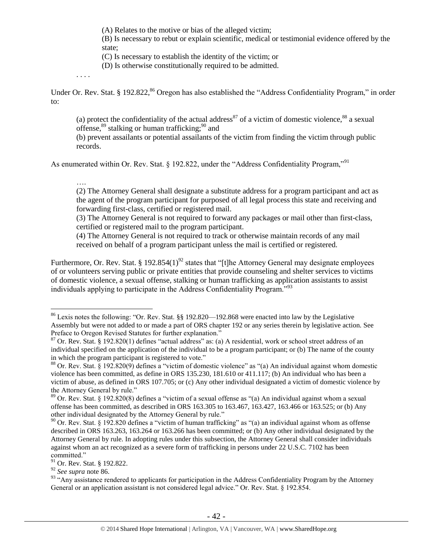(A) Relates to the motive or bias of the alleged victim;

(B) Is necessary to rebut or explain scientific, medical or testimonial evidence offered by the state;

(C) Is necessary to establish the identity of the victim; or

<span id="page-41-0"></span>(D) Is otherwise constitutionally required to be admitted.

. . . .

Under Or. Rev. Stat. § 192.822,<sup>86</sup> Oregon has also established the "Address Confidentiality Program," in order to:

(a) protect the confidentiality of the actual address<sup>87</sup> of a victim of domestic violence,<sup>88</sup> a sexual offense, $^{89}$  stalking or human trafficking; $^{90}$  and

(b) prevent assailants or potential assailants of the victim from finding the victim through public records.

As enumerated within Or. Rev. Stat. § 192.822, under the "Address Confidentiality Program."<sup>91</sup>

….

 $\overline{a}$ 

(2) The Attorney General shall designate a substitute address for a program participant and act as the agent of the program participant for purposed of all legal process this state and receiving and forwarding first-class, certified or registered mail.

(3) The Attorney General is not required to forward any packages or mail other than first-class, certified or registered mail to the program participant.

(4) The Attorney General is not required to track or otherwise maintain records of any mail received on behalf of a program participant unless the mail is certified or registered.

Furthermore, Or. Rev. Stat. § 192.854(1)<sup>92</sup> states that "[t]he Attorney General may designate employees of or volunteers serving public or private entities that provide counseling and shelter services to victims of domestic violence, a sexual offense, stalking or human trafficking as application assistants to assist individuals applying to participate in the Address Confidentiality Program."<sup>93</sup>

<sup>86</sup> Lexis notes the following: "Or. Rev. Stat. §§ 192.820—192.868 were enacted into law by the Legislative Assembly but were not added to or made a part of ORS chapter 192 or any series therein by legislative action. See Preface to Oregon Revised Statutes for further explanation."

 $87$  Or. Rev. Stat. § 192.820(1) defines "actual address" as: (a) A residential, work or school street address of an individual specified on the application of the individual to be a program participant; or (b) The name of the county in which the program participant is registered to vote."

<sup>88</sup> Or. Rev. Stat. § 192.820(9) defines a "victim of domestic violence" as "(a) An individual against whom domestic violence has been committed, as define in ORS 135.230, 181.610 or 411.117; (b) An individual who has been a victim of abuse, as defined in ORS 107.705; or (c) Any other individual designated a victim of domestic violence by the Attorney General by rule."

 $89$  Or. Rev. Stat. § 192.820(8) defines a "victim of a sexual offense as "(a) An individual against whom a sexual offense has been committed, as described in ORS 163.305 to 163.467, 163.427, 163.466 or 163.525; or (b) Any other individual designated by the Attorney General by rule."

 $90$  Or. Rev. Stat. § 192.820 defines a "victim of human trafficking" as "(a) an individual against whom as offense described in ORS 163.263, 163.264 or 163.266 has been committed; or (b) Any other individual designated by the Attorney General by rule. In adopting rules under this subsection, the Attorney General shall consider individuals against whom an act recognized as a severe form of trafficking in persons under 22 U.S.C. 7102 has been committed."

<sup>&</sup>lt;sup>91</sup> Or. Rev. Stat. § 192.822.

<sup>92</sup> *See supra* note [86.](#page-41-0)

<sup>&</sup>lt;sup>93</sup> "Any assistance rendered to applicants for participation in the Address Confidentiality Program by the Attorney General or an application assistant is not considered legal advice." Or. Rev. Stat. § 192.854.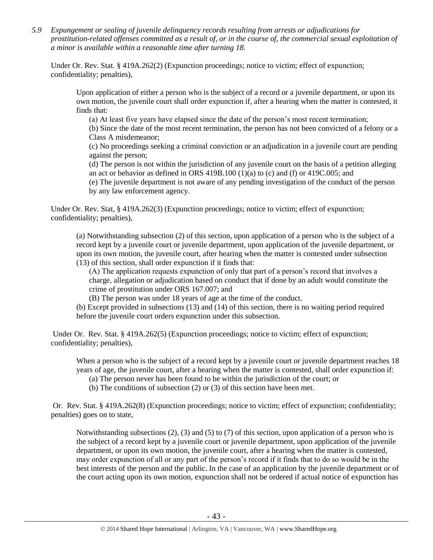*5.9 Expungement or sealing of juvenile delinquency records resulting from arrests or adjudications for prostitution-related offenses committed as a result of, or in the course of, the commercial sexual exploitation of a minor is available within a reasonable time after turning 18.*

Under Or. Rev. Stat. § 419A.262(2) (Expunction proceedings; notice to victim; effect of expunction; confidentiality; penalties),

Upon application of either a person who is the subject of a record or a juvenile department, or upon its own motion, the juvenile court shall order expunction if, after a hearing when the matter is contested, it finds that:

(a) At least five years have elapsed since the date of the person's most recent termination;

(b) Since the date of the most recent termination, the person has not been convicted of a felony or a Class A misdemeanor;

(c) No proceedings seeking a criminal conviction or an adjudication in a juvenile court are pending against the person;

(d) The person is not within the jurisdiction of any juvenile court on the basis of a petition alleging an act or behavior as defined in ORS 419B.100 (1)(a) to (c) and (f) or 419C.005; and

(e) The juvenile department is not aware of any pending investigation of the conduct of the person by any law enforcement agency.

Under Or. Rev. Stat, § 419A.262(3) (Expunction proceedings; notice to victim; effect of expunction; confidentiality; penalties),

(a) Notwithstanding subsection (2) of this section, upon application of a person who is the subject of a record kept by a juvenile court or juvenile department, upon application of the juvenile department, or upon its own motion, the juvenile court, after hearing when the matter is contested under subsection (13) of this section, shall order expunction if it finds that:

(A) The application requests expunction of only that part of a person's record that involves a charge, allegation or adjudication based on conduct that if done by an adult would constitute the crime of prostitution under ORS 167.007; and

(B) The person was under 18 years of age at the time of the conduct.

(b) Except provided in subsections (13) and (14) of this section, there is no waiting period required before the juvenile court orders expunction under this subsection.

Under Or. Rev. Stat. § 419A.262(5) (Expunction proceedings; notice to victim; effect of expunction; confidentiality; penalties),

When a person who is the subject of a record kept by a juvenile court or juvenile department reaches 18 years of age, the juvenile court, after a hearing when the matter is contested, shall order expunction if:

- (a) The person never has been found to be within the jurisdiction of the court; or
- (b) The conditions of subsection (2) or (3) of this section have been met.

Or. Rev. Stat. § 419A.262(8) (Expunction proceedings; notice to victim; effect of expunction; confidentiality; penalties) goes on to state,

Notwithstanding subsections (2), (3) and (5) to (7) of this section, upon application of a person who is the subject of a record kept by a juvenile court or juvenile department, upon application of the juvenile department, or upon its own motion, the juvenile court, after a hearing when the matter is contested, may order expunction of all or any part of the person's record if it finds that to do so would be in the best interests of the person and the public. In the case of an application by the juvenile department or of the court acting upon its own motion, expunction shall not be ordered if actual notice of expunction has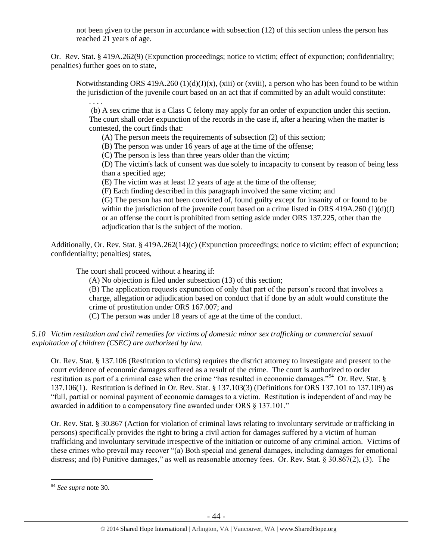not been given to the person in accordance with subsection (12) of this section unless the person has reached 21 years of age.

Or. Rev. Stat. § 419A.262(9) (Expunction proceedings; notice to victim; effect of expunction; confidentiality; penalties) further goes on to state,

Notwithstanding ORS 419A.260 (1)(d)(J)(x), (xiii) or (xviii), a person who has been found to be within the jurisdiction of the juvenile court based on an act that if committed by an adult would constitute:

. . . . (b) A sex crime that is a Class C felony may apply for an order of expunction under this section. The court shall order expunction of the records in the case if, after a hearing when the matter is contested, the court finds that:

(A) The person meets the requirements of subsection (2) of this section;

(B) The person was under 16 years of age at the time of the offense;

(C) The person is less than three years older than the victim;

(D) The victim's lack of consent was due solely to incapacity to consent by reason of being less than a specified age;

(E) The victim was at least 12 years of age at the time of the offense;

(F) Each finding described in this paragraph involved the same victim; and

(G) The person has not been convicted of, found guilty except for insanity of or found to be within the jurisdiction of the juvenile court based on a crime listed in ORS  $419A.260 (1)(d)(J)$ or an offense the court is prohibited from setting aside under ORS 137.225, other than the adjudication that is the subject of the motion.

Additionally, Or. Rev. Stat. § 419A.262(14)(c) (Expunction proceedings; notice to victim; effect of expunction; confidentiality; penalties) states,

The court shall proceed without a hearing if:

(A) No objection is filed under subsection (13) of this section;

(B) The application requests expunction of only that part of the person's record that involves a charge, allegation or adjudication based on conduct that if done by an adult would constitute the crime of prostitution under ORS 167.007; and

(C) The person was under 18 years of age at the time of the conduct.

# *5.10 Victim restitution and civil remedies for victims of domestic minor sex trafficking or commercial sexual exploitation of children (CSEC) are authorized by law.*

Or. Rev. Stat. § 137.106 (Restitution to victims) requires the district attorney to investigate and present to the court evidence of economic damages suffered as a result of the crime. The court is authorized to order restitution as part of a criminal case when the crime "has resulted in economic damages."<sup>94</sup> Or. Rev. Stat. § 137.106(1). Restitution is defined in Or. Rev. Stat. § 137.103(3) (Definitions for ORS 137.101 to 137.109) as "full, partial or nominal payment of economic damages to a victim. Restitution is independent of and may be awarded in addition to a compensatory fine awarded under ORS § 137.101."

Or. Rev. Stat. § 30.867 (Action for violation of criminal laws relating to involuntary servitude or trafficking in persons) specifically provides the right to bring a civil action for damages suffered by a victim of human trafficking and involuntary servitude irrespective of the initiation or outcome of any criminal action. Victims of these crimes who prevail may recover "(a) Both special and general damages, including damages for emotional distress; and (b) Punitive damages," as well as reasonable attorney fees. Or. Rev. Stat. § 30.867(2), (3). The

<sup>94</sup> *See supra* note [30.](#page-13-1)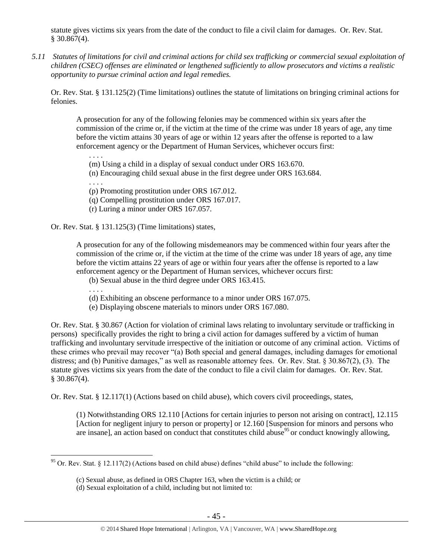statute gives victims six years from the date of the conduct to file a civil claim for damages. Or. Rev. Stat.  $§$  30.867(4).

*5.11 Statutes of limitations for civil and criminal actions for child sex trafficking or commercial sexual exploitation of children (CSEC) offenses are eliminated or lengthened sufficiently to allow prosecutors and victims a realistic opportunity to pursue criminal action and legal remedies.*

Or. Rev. Stat. § 131.125(2) (Time limitations) outlines the statute of limitations on bringing criminal actions for felonies.

A prosecution for any of the following felonies may be commenced within six years after the commission of the crime or, if the victim at the time of the crime was under 18 years of age, any time before the victim attains 30 years of age or within 12 years after the offense is reported to a law enforcement agency or the Department of Human Services, whichever occurs first:

(m) Using a child in a display of sexual conduct under ORS 163.670.

(n) Encouraging child sexual abuse in the first degree under ORS 163.684.

. . . .

. . . .

 $\overline{a}$ 

. . . .

(p) Promoting prostitution under ORS 167.012.

(q) Compelling prostitution under ORS 167.017.

(r) Luring a minor under ORS 167.057.

Or. Rev. Stat. § 131.125(3) (Time limitations) states,

A prosecution for any of the following misdemeanors may be commenced within four years after the commission of the crime or, if the victim at the time of the crime was under 18 years of age, any time before the victim attains 22 years of age or within four years after the offense is reported to a law enforcement agency or the Department of Human services, whichever occurs first:

(b) Sexual abuse in the third degree under ORS 163.415.

(d) Exhibiting an obscene performance to a minor under ORS 167.075.

(e) Displaying obscene materials to minors under ORS 167.080.

Or. Rev. Stat. § 30.867 (Action for violation of criminal laws relating to involuntary servitude or trafficking in persons) specifically provides the right to bring a civil action for damages suffered by a victim of human trafficking and involuntary servitude irrespective of the initiation or outcome of any criminal action. Victims of these crimes who prevail may recover "(a) Both special and general damages, including damages for emotional distress; and (b) Punitive damages," as well as reasonable attorney fees. Or. Rev. Stat. § 30.867(2), (3). The statute gives victims six years from the date of the conduct to file a civil claim for damages. Or. Rev. Stat.  $§$  30.867(4).

Or. Rev. Stat. § 12.117(1) (Actions based on child abuse), which covers civil proceedings, states,

(1) Notwithstanding ORS 12.110 [Actions for certain injuries to person not arising on contract], 12.115 [Action for negligent injury to person or property] or 12.160 [Suspension for minors and persons who are insane], an action based on conduct that constitutes child abuse<sup>95</sup> or conduct knowingly allowing,

<sup>&</sup>lt;sup>95</sup> Or. Rev. Stat. § 12.117(2) (Actions based on child abuse) defines "child abuse" to include the following:

<sup>(</sup>c) Sexual abuse, as defined in ORS Chapter 163, when the victim is a child; or

<sup>(</sup>d) Sexual exploitation of a child, including but not limited to: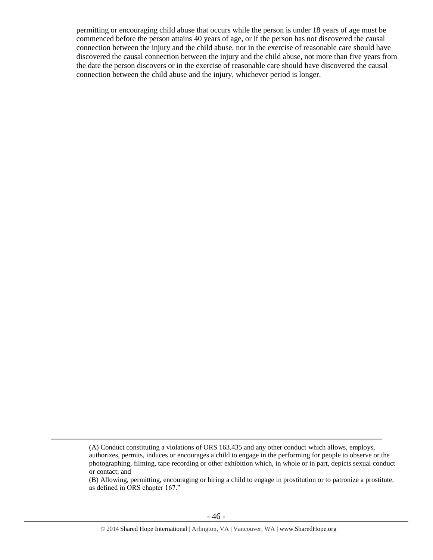permitting or encouraging child abuse that occurs while the person is under 18 years of age must be commenced before the person attains 40 years of age, or if the person has not discovered the causal connection between the injury and the child abuse, nor in the exercise of reasonable care should have discovered the causal connection between the injury and the child abuse, not more than five years from the date the person discovers or in the exercise of reasonable care should have discovered the causal connection between the child abuse and the injury, whichever period is longer.

(B) Allowing, permitting, encouraging or hiring a child to engage in prostitution or to patronize a prostitute, as defined in ORS chapter 167."

<sup>(</sup>A) Conduct constituting a violations of ORS 163.435 and any other conduct which allows, employs, authorizes, permits, induces or encourages a child to engage in the performing for people to observe or the photographing, filming, tape recording or other exhibition which, in whole or in part, depicts sexual conduct or contact; and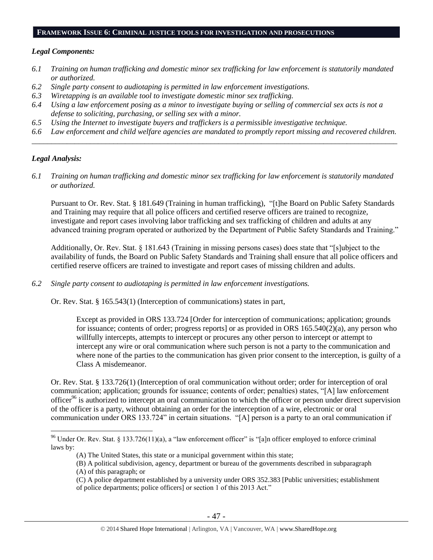#### **FRAMEWORK ISSUE 6: CRIMINAL JUSTICE TOOLS FOR INVESTIGATION AND PROSECUTIONS**

#### *Legal Components:*

- *6.1 Training on human trafficking and domestic minor sex trafficking for law enforcement is statutorily mandated or authorized.*
- *6.2 Single party consent to audiotaping is permitted in law enforcement investigations.*
- *6.3 Wiretapping is an available tool to investigate domestic minor sex trafficking.*
- *6.4 Using a law enforcement posing as a minor to investigate buying or selling of commercial sex acts is not a defense to soliciting, purchasing, or selling sex with a minor.*
- *6.5 Using the Internet to investigate buyers and traffickers is a permissible investigative technique.*
- *6.6 Law enforcement and child welfare agencies are mandated to promptly report missing and recovered children. \_\_\_\_\_\_\_\_\_\_\_\_\_\_\_\_\_\_\_\_\_\_\_\_\_\_\_\_\_\_\_\_\_\_\_\_\_\_\_\_\_\_\_\_\_\_\_\_\_\_\_\_\_\_\_\_\_\_\_\_\_\_\_\_\_\_\_\_\_\_\_\_\_\_\_\_\_\_\_\_\_\_\_\_\_\_\_\_\_\_\_\_\_\_*

#### *Legal Analysis:*

 $\overline{a}$ 

*6.1 Training on human trafficking and domestic minor sex trafficking for law enforcement is statutorily mandated or authorized.*

Pursuant to Or. Rev. Stat. § 181.649 (Training in human trafficking), "[t]he Board on Public Safety Standards and Training may require that all police officers and certified reserve officers are trained to recognize, investigate and report cases involving labor trafficking and sex trafficking of children and adults at any advanced training program operated or authorized by the Department of Public Safety Standards and Training."

Additionally, Or. Rev. Stat. § 181.643 (Training in missing persons cases) does state that "[s]ubject to the availability of funds, the Board on Public Safety Standards and Training shall ensure that all police officers and certified reserve officers are trained to investigate and report cases of missing children and adults.

*6.2 Single party consent to audiotaping is permitted in law enforcement investigations.*

Or. Rev. Stat. § 165.543(1) (Interception of communications) states in part,

Except as provided in ORS 133.724 [Order for interception of communications; application; grounds for issuance; contents of order; progress reports] or as provided in ORS 165.540(2)(a), any person who willfully intercepts, attempts to intercept or procures any other person to intercept or attempt to intercept any wire or oral communication where such person is not a party to the communication and where none of the parties to the communication has given prior consent to the interception, is guilty of a Class A misdemeanor.

Or. Rev. Stat. § 133.726(1) (Interception of oral communication without order; order for interception of oral communication; application; grounds for issuance; contents of order; penalties) states, "[A] law enforcement officer<sup>96</sup> is authorized to intercept an oral communication to which the officer or person under direct supervision of the officer is a party, without obtaining an order for the interception of a wire, electronic or oral communication under ORS 133.724" in certain situations. "[A] person is a party to an oral communication if

 $96$  Under Or. Rev. Stat. § 133.726(11)(a), a "law enforcement officer" is "[a]n officer employed to enforce criminal laws by:

<sup>(</sup>A) The United States, this state or a municipal government within this state;

<sup>(</sup>B) A political subdivision, agency, department or bureau of the governments described in subparagraph (A) of this paragraph; or

<sup>(</sup>C) A police department established by a university under ORS 352.383 [Public universities; establishment of police departments; police officers] or section 1 of this 2013 Act."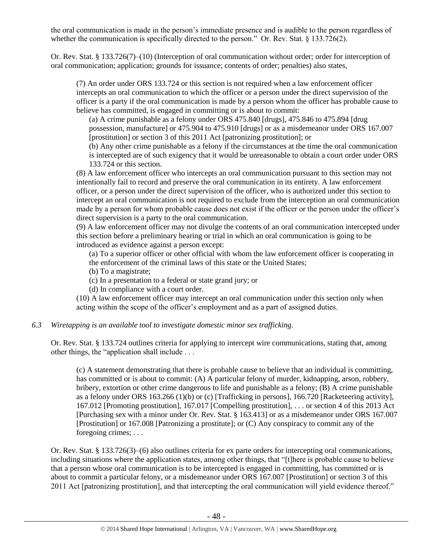the oral communication is made in the person's immediate presence and is audible to the person regardless of whether the communication is specifically directed to the person." Or. Rev. Stat. § 133.726(2).

Or. Rev. Stat. § 133.726(7)–(10) (Interception of oral communication without order; order for interception of oral communication; application; grounds for issuance; contents of order; penalties) also states,

(7) An order under ORS 133.724 or this section is not required when a law enforcement officer intercepts an oral communication to which the officer or a person under the direct supervision of the officer is a party if the oral communication is made by a person whom the officer has probable cause to believe has committed, is engaged in committing or is about to commit:

(a) A crime punishable as a felony under ORS 475.840 [drugs], 475.846 to 475.894 [drug possession, manufacture] or 475.904 to 475.910 [drugs] or as a misdemeanor under ORS 167.007 [prostitution] or section 3 of this 2011 Act [patronizing prostitution]; or

(b) Any other crime punishable as a felony if the circumstances at the time the oral communication is intercepted are of such exigency that it would be unreasonable to obtain a court order under ORS 133.724 or this section.

(8) A law enforcement officer who intercepts an oral communication pursuant to this section may not intentionally fail to record and preserve the oral communication in its entirety. A law enforcement officer, or a person under the direct supervision of the officer, who is authorized under this section to intercept an oral communication is not required to exclude from the interception an oral communication made by a person for whom probable cause does not exist if the officer or the person under the officer's direct supervision is a party to the oral communication.

(9) A law enforcement officer may not divulge the contents of an oral communication intercepted under this section before a preliminary hearing or trial in which an oral communication is going to be introduced as evidence against a person except:

(a) To a superior officer or other official with whom the law enforcement officer is cooperating in the enforcement of the criminal laws of this state or the United States;

- (b) To a magistrate;
- (c) In a presentation to a federal or state grand jury; or
- (d) In compliance with a court order.

(10) A law enforcement officer may intercept an oral communication under this section only when acting within the scope of the officer's employment and as a part of assigned duties.

## *6.3 Wiretapping is an available tool to investigate domestic minor sex trafficking.*

Or. Rev. Stat. § 133.724 outlines criteria for applying to intercept wire communications, stating that, among other things, the "application shall include . . .

(c) A statement demonstrating that there is probable cause to believe that an individual is committing, has committed or is about to commit: (A) A particular felony of murder, kidnapping, arson, robbery, bribery, extortion or other crime dangerous to life and punishable as a felony; (B) A crime punishable as a felony under ORS 163.266 (1)(b) or (c) [Trafficking in persons], 166.720 [Racketeering activity], 167.012 [Promoting prostitution], 167.017 [Compelling prostitution], . . . or section 4 of this 2013 Act [Purchasing sex with a minor under Or. Rev. Stat. § 163.413] or as a misdemeanor under ORS 167.007 [Prostitution] or 167.008 [Patronizing a prostitute]; or (C) Any conspiracy to commit any of the foregoing crimes; . . .

Or. Rev. Stat. § 133.726(3)–(6) also outlines criteria for ex parte orders for intercepting oral communications, including situations where the application states, among other things, that "[t]here is probable cause to believe that a person whose oral communication is to be intercepted is engaged in committing, has committed or is about to commit a particular felony, or a misdemeanor under ORS 167.007 [Prostitution] or section 3 of this 2011 Act [patronizing prostitution], and that intercepting the oral communication will yield evidence thereof."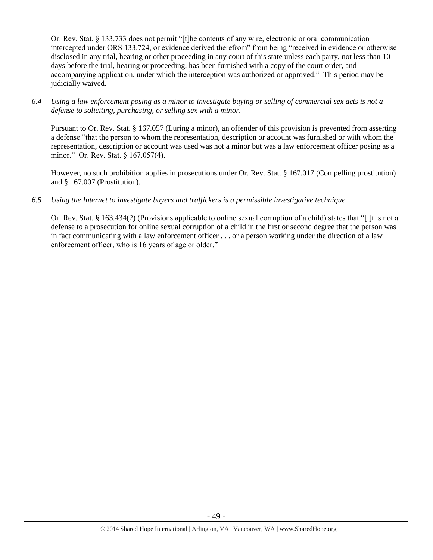Or. Rev. Stat. § 133.733 does not permit "[t]he contents of any wire, electronic or oral communication intercepted under ORS 133.724, or evidence derived therefrom" from being "received in evidence or otherwise disclosed in any trial, hearing or other proceeding in any court of this state unless each party, not less than 10 days before the trial, hearing or proceeding, has been furnished with a copy of the court order, and accompanying application, under which the interception was authorized or approved." This period may be judicially waived.

*6.4 Using a law enforcement posing as a minor to investigate buying or selling of commercial sex acts is not a defense to soliciting, purchasing, or selling sex with a minor.*

Pursuant to Or. Rev. Stat. § 167.057 (Luring a minor), an offender of this provision is prevented from asserting a defense "that the person to whom the representation, description or account was furnished or with whom the representation, description or account was used was not a minor but was a law enforcement officer posing as a minor." Or. Rev. Stat. § 167.057(4).

However, no such prohibition applies in prosecutions under Or. Rev. Stat. § 167.017 (Compelling prostitution) and § 167.007 (Prostitution).

*6.5 Using the Internet to investigate buyers and traffickers is a permissible investigative technique.*

Or. Rev. Stat. § 163.434(2) (Provisions applicable to online sexual corruption of a child) states that "[i]t is not a defense to a prosecution for online sexual corruption of a child in the first or second degree that the person was in fact communicating with a law enforcement officer . . . or a person working under the direction of a law enforcement officer, who is 16 years of age or older."